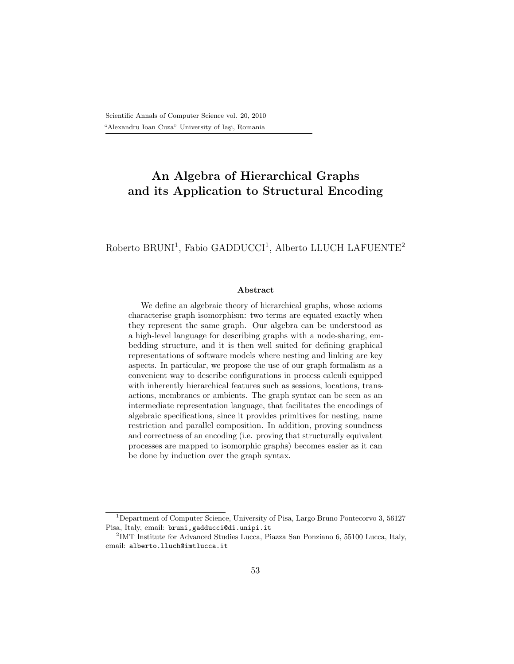# An Algebra of Hierarchical Graphs and its Application to Structural Encoding

Roberto BRUNI<sup>1</sup>, Fabio GADDUCCI<sup>1</sup>, Alberto LLUCH LAFUENTE<sup>2</sup>

#### Abstract

We define an algebraic theory of hierarchical graphs, whose axioms characterise graph isomorphism: two terms are equated exactly when they represent the same graph. Our algebra can be understood as a high-level language for describing graphs with a node-sharing, embedding structure, and it is then well suited for defining graphical representations of software models where nesting and linking are key aspects. In particular, we propose the use of our graph formalism as a convenient way to describe configurations in process calculi equipped with inherently hierarchical features such as sessions, locations, transactions, membranes or ambients. The graph syntax can be seen as an intermediate representation language, that facilitates the encodings of algebraic specifications, since it provides primitives for nesting, name restriction and parallel composition. In addition, proving soundness and correctness of an encoding (i.e. proving that structurally equivalent processes are mapped to isomorphic graphs) becomes easier as it can be done by induction over the graph syntax.

<sup>&</sup>lt;sup>1</sup>Department of Computer Science, University of Pisa, Largo Bruno Pontecorvo 3, 56127 Pisa, Italy, email: bruni,gadducci@di.unipi.it

<sup>&</sup>lt;sup>2</sup>IMT Institute for Advanced Studies Lucca, Piazza San Ponziano 6, 55100 Lucca, Italy, email: alberto.lluch@imtlucca.it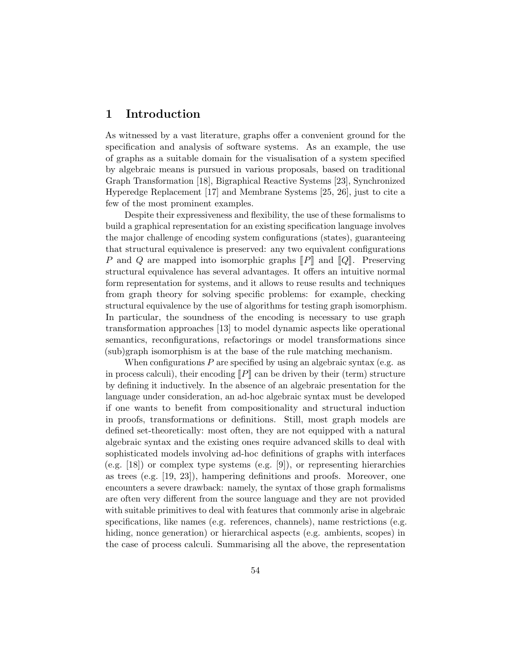## 1 Introduction

As witnessed by a vast literature, graphs offer a convenient ground for the specification and analysis of software systems. As an example, the use of graphs as a suitable domain for the visualisation of a system specified by algebraic means is pursued in various proposals, based on traditional Graph Transformation [18], Bigraphical Reactive Systems [23], Synchronized Hyperedge Replacement [17] and Membrane Systems [25, 26], just to cite a few of the most prominent examples.

Despite their expressiveness and flexibility, the use of these formalisms to build a graphical representation for an existing specification language involves the major challenge of encoding system configurations (states), guaranteeing that structural equivalence is preserved: any two equivalent configurations P and Q are mapped into isomorphic graphs  $\llbracket P \rrbracket$  and  $\llbracket Q \rrbracket$ . Preserving structural equivalence has several advantages. It offers an intuitive normal form representation for systems, and it allows to reuse results and techniques from graph theory for solving specific problems: for example, checking structural equivalence by the use of algorithms for testing graph isomorphism. In particular, the soundness of the encoding is necessary to use graph transformation approaches [13] to model dynamic aspects like operational semantics, reconfigurations, refactorings or model transformations since (sub)graph isomorphism is at the base of the rule matching mechanism.

When configurations  $P$  are specified by using an algebraic syntax (e.g. as in process calculi), their encoding  $\llbracket P \rrbracket$  can be driven by their (term) structure by defining it inductively. In the absence of an algebraic presentation for the language under consideration, an ad-hoc algebraic syntax must be developed if one wants to benefit from compositionality and structural induction in proofs, transformations or definitions. Still, most graph models are defined set-theoretically: most often, they are not equipped with a natural algebraic syntax and the existing ones require advanced skills to deal with sophisticated models involving ad-hoc definitions of graphs with interfaces (e.g. [18]) or complex type systems (e.g. [9]), or representing hierarchies as trees  $(e.g. [19, 23])$ , hampering definitions and proofs. Moreover, one encounters a severe drawback: namely, the syntax of those graph formalisms are often very different from the source language and they are not provided with suitable primitives to deal with features that commonly arise in algebraic specifications, like names (e.g. references, channels), name restrictions (e.g. hiding, nonce generation) or hierarchical aspects (e.g. ambients, scopes) in the case of process calculi. Summarising all the above, the representation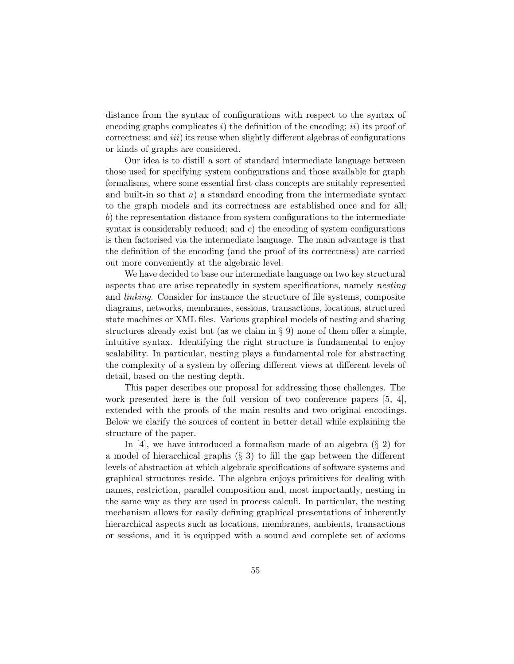distance from the syntax of configurations with respect to the syntax of encoding graphs complicates i) the definition of the encoding; ii) its proof of correctness; and *iii*) its reuse when slightly different algebras of configurations or kinds of graphs are considered.

Our idea is to distill a sort of standard intermediate language between those used for specifying system configurations and those available for graph formalisms, where some essential first-class concepts are suitably represented and built-in so that  $a)$  a standard encoding from the intermediate syntax to the graph models and its correctness are established once and for all; b) the representation distance from system configurations to the intermediate syntax is considerably reduced; and  $c$ ) the encoding of system configurations is then factorised via the intermediate language. The main advantage is that the definition of the encoding (and the proof of its correctness) are carried out more conveniently at the algebraic level.

We have decided to base our intermediate language on two key structural aspects that are arise repeatedly in system specifications, namely nesting and *linking*. Consider for instance the structure of file systems, composite diagrams, networks, membranes, sessions, transactions, locations, structured state machines or XML files. Various graphical models of nesting and sharing structures already exist but (as we claim in  $\S$  9) none of them offer a simple, intuitive syntax. Identifying the right structure is fundamental to enjoy scalability. In particular, nesting plays a fundamental role for abstracting the complexity of a system by offering different views at different levels of detail, based on the nesting depth.

This paper describes our proposal for addressing those challenges. The work presented here is the full version of two conference papers [5, 4], extended with the proofs of the main results and two original encodings. Below we clarify the sources of content in better detail while explaining the structure of the paper.

In [4], we have introduced a formalism made of an algebra  $(\S 2)$  for a model of hierarchical graphs (§ 3) to fill the gap between the different levels of abstraction at which algebraic specifications of software systems and graphical structures reside. The algebra enjoys primitives for dealing with names, restriction, parallel composition and, most importantly, nesting in the same way as they are used in process calculi. In particular, the nesting mechanism allows for easily defining graphical presentations of inherently hierarchical aspects such as locations, membranes, ambients, transactions or sessions, and it is equipped with a sound and complete set of axioms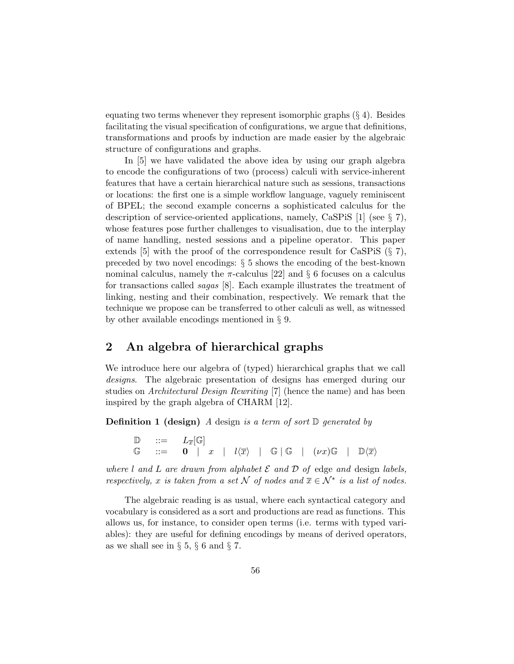equating two terms whenever they represent isomorphic graphs  $(\S 4)$ . Besides facilitating the visual specification of configurations, we argue that definitions, transformations and proofs by induction are made easier by the algebraic structure of configurations and graphs.

In [5] we have validated the above idea by using our graph algebra to encode the configurations of two (process) calculi with service-inherent features that have a certain hierarchical nature such as sessions, transactions or locations: the first one is a simple workflow language, vaguely reminiscent of BPEL; the second example concerns a sophisticated calculus for the description of service-oriented applications, namely, CaSPiS [1] (see § 7), whose features pose further challenges to visualisation, due to the interplay of name handling, nested sessions and a pipeline operator. This paper extends [5] with the proof of the correspondence result for CaSPiS (§ 7), preceded by two novel encodings: § 5 shows the encoding of the best-known nominal calculus, namely the  $\pi$ -calculus [22] and § 6 focuses on a calculus for transactions called sagas [8]. Each example illustrates the treatment of linking, nesting and their combination, respectively. We remark that the technique we propose can be transferred to other calculi as well, as witnessed by other available encodings mentioned in § 9.

## 2 An algebra of hierarchical graphs

We introduce here our algebra of (typed) hierarchical graphs that we call designs. The algebraic presentation of designs has emerged during our studies on Architectural Design Rewriting [7] (hence the name) and has been inspired by the graph algebra of CHARM [12].

**Definition 1 (design)** A design is a term of sort  $\mathbb{D}$  generated by

 $\mathbb{D}$  ::=  $L_{\overline{x}}[\mathbb{G}]$  $\mathbb{G}$  ::= 0 | x |  $l\langle \overline{x}\rangle$  |  $\mathbb{G}$  |  $\mathbb{G}$  |  $(\nu x)\mathbb{G}$  |  $\mathbb{D}\langle \overline{x}\rangle$ 

where l and L are drawn from alphabet  $\mathcal E$  and  $\mathcal D$  of edge and design labels, respectively, x is taken from a set N of nodes and  $\overline{x} \in \mathcal{N}^*$  is a list of nodes.

The algebraic reading is as usual, where each syntactical category and vocabulary is considered as a sort and productions are read as functions. This allows us, for instance, to consider open terms (i.e. terms with typed variables): they are useful for defining encodings by means of derived operators, as we shall see in  $\S 5, \S 6$  and  $\S 7$ .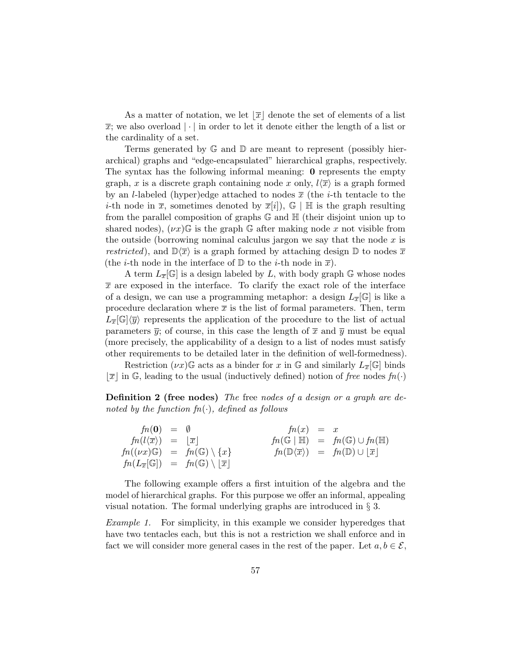As a matter of notation, we let  $\vert \overline{x} \vert$  denote the set of elements of a list  $\bar{x}$ ; we also overload  $|\cdot|$  in order to let it denote either the length of a list or the cardinality of a set.

Terms generated by G and D are meant to represent (possibly hierarchical) graphs and "edge-encapsulated" hierarchical graphs, respectively. The syntax has the following informal meaning: 0 represents the empty graph, x is a discrete graph containing node x only,  $l\langle\overline{x}\rangle$  is a graph formed by an *l*-labeled (hyper)edge attached to nodes  $\bar{x}$  (the *i*-th tentacle to the *i*-th node in  $\bar{x}$ , sometimes denoted by  $\bar{x}[i]$ ,  $\mathbb{G} \mid \mathbb{H}$  is the graph resulting from the parallel composition of graphs G and H (their disjoint union up to shared nodes),  $(\nu x)$ G is the graph G after making node x not visible from the outside (borrowing nominal calculus jargon we say that the node  $x$  is restricted), and  $\mathbb{D}\langle\overline{x}\rangle$  is a graph formed by attaching design  $\mathbb D$  to nodes  $\overline{x}$ (the *i*-th node in the interface of  $\mathbb D$  to the *i*-th node in  $\overline{x}$ ).

A term  $L_{\overline{x}}[\mathbb{G}]$  is a design labeled by L, with body graph  $\mathbb{G}$  whose nodes  $\bar{x}$  are exposed in the interface. To clarify the exact role of the interface of a design, we can use a programming metaphor: a design  $L_{\overline{x}}[\mathbb{G}]$  is like a procedure declaration where  $\bar{x}$  is the list of formal parameters. Then, term  $L_{\overline{x}}[\mathbb{G}]\langle\overline{y}\rangle$  represents the application of the procedure to the list of actual parameters  $\bar{y}$ ; of course, in this case the length of  $\bar{x}$  and  $\bar{y}$  must be equal (more precisely, the applicability of a design to a list of nodes must satisfy other requirements to be detailed later in the definition of well-formedness).

Restriction  $(\nu x)$ G acts as a binder for x in G and similarly  $L_{\overline{x}}[G]$  binds  $\vert \overline{x} \vert$  in G, leading to the usual (inductively defined) notion of free nodes  $fn(\cdot)$ 

Definition 2 (free nodes) The free nodes of a design or a graph are denoted by the function  $fn(\cdot)$ , defined as follows

| $fn(0) = \emptyset$                                 |                                                                              | $fn(x) = x$ |                                                                                  |
|-----------------------------------------------------|------------------------------------------------------------------------------|-------------|----------------------------------------------------------------------------------|
| $fn(l\langle \overline{x}\rangle) =  \overline{x} $ |                                                                              |             | $fn(\mathbb{G}   \mathbb{H}) = fn(\mathbb{G}) \cup fn(\mathbb{H})$               |
|                                                     | $fn((\nu x)\mathbb{G}) = fn(\mathbb{G})\setminus\{x\}$                       |             | $fn(\mathbb{D}\langle \overline{x}\rangle) = fn(\mathbb{D}) \cup  \overline{x} $ |
|                                                     | $fn(L_{\overline{x}}[\mathbb{G}]) = fn(\mathbb{G}) \setminus  \overline{x} $ |             |                                                                                  |

The following example offers a first intuition of the algebra and the model of hierarchical graphs. For this purpose we offer an informal, appealing visual notation. The formal underlying graphs are introduced in § 3.

Example 1. For simplicity, in this example we consider hyperedges that have two tentacles each, but this is not a restriction we shall enforce and in fact we will consider more general cases in the rest of the paper. Let  $a, b \in \mathcal{E}$ ,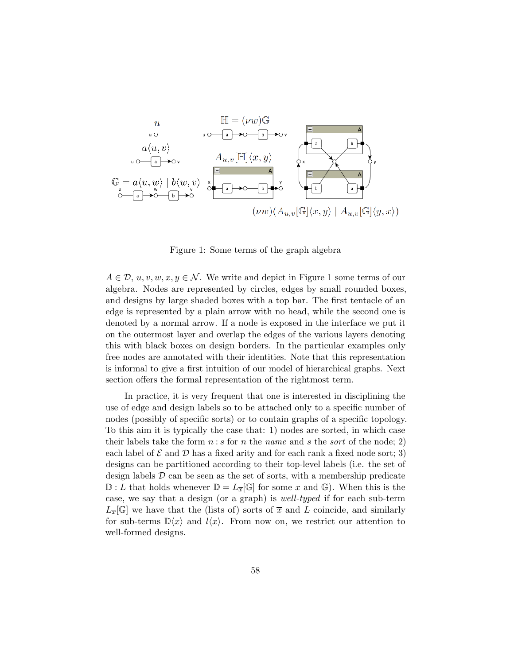

Figure 1: Some terms of the graph algebra

 $A \in \mathcal{D}, u, v, w, x, y \in \mathcal{N}$ . We write and depict in Figure 1 some terms of our algebra. Nodes are represented by circles, edges by small rounded boxes, and designs by large shaded boxes with a top bar. The first tentacle of an edge is represented by a plain arrow with no head, while the second one is denoted by a normal arrow. If a node is exposed in the interface we put it on the outermost layer and overlap the edges of the various layers denoting this with black boxes on design borders. In the particular examples only free nodes are annotated with their identities. Note that this representation is informal to give a first intuition of our model of hierarchical graphs. Next section offers the formal representation of the rightmost term.

In practice, it is very frequent that one is interested in disciplining the use of edge and design labels so to be attached only to a specific number of nodes (possibly of specific sorts) or to contain graphs of a specific topology. To this aim it is typically the case that: 1) nodes are sorted, in which case their labels take the form  $n : s$  for n the name and s the sort of the node; 2) each label of  $\mathcal E$  and  $\mathcal D$  has a fixed arity and for each rank a fixed node sort; 3) designs can be partitioned according to their top-level labels (i.e. the set of design labels  $\mathcal D$  can be seen as the set of sorts, with a membership predicate  $\mathbb{D}: L$  that holds whenever  $\mathbb{D} = L_{\overline{x}}[\mathbb{G}]$  for some  $\overline{x}$  and  $\mathbb{G}$ ). When this is the case, we say that a design (or a graph) is well-typed if for each sub-term  $L_{\overline{x}}[\mathbb{G}]$  we have that the (lists of) sorts of  $\overline{x}$  and L coincide, and similarly for sub-terms  $\mathbb{D}\langle\overline{x}\rangle$  and  $l\langle\overline{x}\rangle$ . From now on, we restrict our attention to well-formed designs.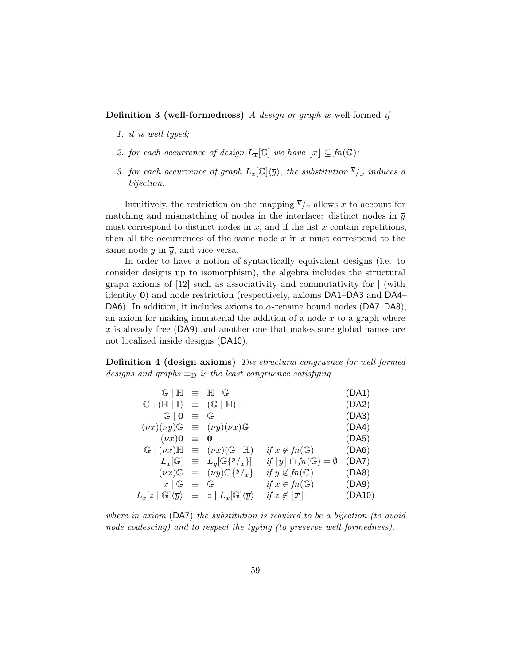**Definition 3 (well-formedness)** A design or graph is well-formed if

- 1. it is well-typed;
- 2. for each occurrence of design  $L_{\overline{x}}[\mathbb{G}]$  we have  $[\overline{x}] \subseteq \mathfrak{fn}(\mathbb{G})$ ;
- 3. for each occurrence of graph  $L_{\overline{x}}[\mathbb{G}]\langle\overline{y}\rangle$ , the substitution  $\overline{y}/_{\overline{x}}$  induces a bijection.

Intuitively, the restriction on the mapping  $\overline{y}/\overline{x}$  allows  $\overline{x}$  to account for matching and mismatching of nodes in the interface: distinct nodes in  $\bar{y}$ must correspond to distinct nodes in  $\bar{x}$ , and if the list  $\bar{x}$  contain repetitions, then all the occurrences of the same node x in  $\bar{x}$  must correspond to the same node  $y$  in  $\overline{y}$ , and vice versa.

In order to have a notion of syntactically equivalent designs (i.e. to consider designs up to isomorphism), the algebra includes the structural graph axioms of  $[12]$  such as associativity and commutativity for  $\vert$  (with identity 0) and node restriction (respectively, axioms DA1–DA3 and DA4– DA6). In addition, it includes axioms to  $\alpha$ -rename bound nodes (DA7–DA8), an axiom for making immaterial the addition of a node  $x$  to a graph where x is already free (DA9) and another one that makes sure global names are not localized inside designs (DA10).

Definition 4 (design axioms) The structural congruence for well-formed designs and graphs  $\equiv_D$  is the least congruence satisfying

| $G/H \equiv H/G$                                                                                                                            |            |                                                                                                    |                                                     | (DA1)  |
|---------------------------------------------------------------------------------------------------------------------------------------------|------------|----------------------------------------------------------------------------------------------------|-----------------------------------------------------|--------|
| $\mathbb{G} \mid (\mathbb{H} \mid \mathbb{I}) \equiv (\mathbb{G} \mid \mathbb{H}) \mid \mathbb{I}$                                          |            |                                                                                                    |                                                     | (DA2)  |
| $\mathbb{G} \mid \mathbf{0}$                                                                                                                | $\equiv$ G |                                                                                                    |                                                     | (DA3)  |
|                                                                                                                                             |            | $(\nu x)(\nu y)\mathbb{G} \equiv (\nu y)(\nu x)\mathbb{G}$                                         |                                                     | (DA4)  |
| $(\nu x)0 \equiv 0$                                                                                                                         |            |                                                                                                    |                                                     | (DA5)  |
|                                                                                                                                             |            | $\mathbb{G} \mid (\nu x) \mathbb{H} \equiv (\nu x) (\mathbb{G} \mid \mathbb{H})$                   | if $x \notin fn(\mathbb{G})$                        | (DA6)  |
|                                                                                                                                             |            | $L_{\overline{x}}[\mathbb{G}] \equiv L_{\overline{y}}[\mathbb{G}\{\overline{y}/_{\overline{x}}\}]$ | if $ \overline{y}  \cap fn(\mathbb{G}) = \emptyset$ | (DA7)  |
|                                                                                                                                             |            | $(\nu x)\mathbb{G} \equiv (\nu y)\mathbb{G}\left\{y/x\right\}$                                     | if $y \notin fn(\mathbb{G})$                        | (DA8)  |
| $x \mid \mathbb{G}$ = $\mathbb{G}$                                                                                                          |            |                                                                                                    | if $x \in fn(\mathbb{G})$                           | (DA9)  |
| $L_{\overline{x}}[z\mid \mathbb G]\langle \overline{y}\rangle \;\;\equiv\;\; z \mid L_{\overline{x}}[\mathbb G]\langle \overline{y}\rangle$ |            |                                                                                                    | if $z \notin  \overline{x} $                        | (DA10) |

where in axiom (DA7) the substitution is required to be a bijection (to avoid node coalescing) and to respect the typing (to preserve well-formedness).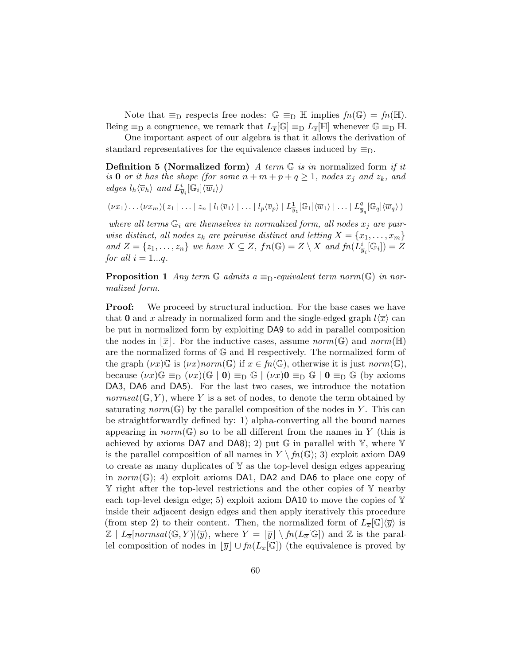Note that  $\equiv_D$  respects free nodes:  $\mathbb{G} \equiv_D \mathbb{H}$  implies  $fn(\mathbb{G}) = fn(\mathbb{H})$ . Being  $\equiv_D a$  congruence, we remark that  $L_{\overline{x}}[\mathbb{G}] \equiv_D L_{\overline{x}}[\mathbb{H}]$  whenever  $\mathbb{G} \equiv_D \mathbb{H}$ .

One important aspect of our algebra is that it allows the derivation of standard representatives for the equivalence classes induced by  $\equiv_D$ .

**Definition 5 (Normalized form)** A term  $\mathbb{G}$  is in normalized form if it is 0 or it has the shape (for some  $n + m + p + q \ge 1$ , nodes  $x_j$  and  $z_k$ , and edges  $l_h \langle \overline{v}_h \rangle$  and  $L^i_{\overline{y}_i}[\mathbb{G}_i] \langle \overline{w}_i \rangle$ 

$$
(\nu x_1)\dots(\nu x_m)(z_1\mid \dots\mid z_n\mid l_1\langle\overline{v}_1\rangle\mid \dots\mid l_p\langle\overline{v}_p\rangle\mid L^1_{\overline{y}_1}[\mathbb{G}_1]\langle\overline{w}_1\rangle\mid \dots\mid L^q_{\overline{y}_q}[\mathbb{G}_q]\langle\overline{w}_q\rangle)
$$

where all terms  $\mathbb{G}_i$  are themselves in normalized form, all nodes  $x_j$  are pairwise distinct, all nodes  $z_k$  are pairwise distinct and letting  $X = \{x_1, \ldots, x_m\}$ and  $Z = \{z_1, \ldots, z_n\}$  we have  $X \subseteq Z$ ,  $fn(\mathbb{G}) = Z \setminus X$  and  $fn(\tilde{L}_{\overline{y}_i}^i[\mathbb{G}_i]) = Z$ for all  $i = 1...q$ .

**Proposition 1** Any term  $\mathbb{G}$  admits a  $\equiv_{\mathbb{D}}$ -equivalent term norm( $\mathbb{G}$ ) in normalized form.

**Proof:** We proceed by structural induction. For the base cases we have that 0 and x already in normalized form and the single-edged graph  $l\langle\overline{x}\rangle$  can be put in normalized form by exploiting DA9 to add in parallel composition the nodes in  $\lbrack \bar{x} \rbrack$ . For the inductive cases, assume norm(G) and norm(H) are the normalized forms of G and H respectively. The normalized form of the graph  $(\nu x)\mathbb{G}$  is  $(\nu x)norm(\mathbb{G})$  if  $x \in fn(\mathbb{G})$ , otherwise it is just  $norm(\mathbb{G})$ , because  $(\nu x) \mathbb{G} \equiv_{\text{D}} (\nu x) (\mathbb{G} \mid \mathbf{0}) \equiv_{\text{D}} \mathbb{G} \mid (\nu x) \mathbf{0} \equiv_{\text{D}} \mathbb{G} \mid \mathbf{0} \equiv_{\text{D}} \mathbb{G}$  (by axioms DA3, DA6 and DA5). For the last two cases, we introduce the notation normsat $(\mathbb{G}, Y)$ , where Y is a set of nodes, to denote the term obtained by saturating norm( $\mathbb{G}$ ) by the parallel composition of the nodes in Y. This can be straightforwardly defined by: 1) alpha-converting all the bound names appearing in  $norm(\mathbb{G})$  so to be all different from the names in Y (this is achieved by axioms DA7 and DA8); 2) put  $\mathbb G$  in parallel with  $\mathbb Y$ , where  $\mathbb Y$ is the parallel composition of all names in  $Y \setminus f_n(\mathbb{G}); 3$  exploit axiom DA9 to create as many duplicates of  $Y$  as the top-level design edges appearing in norm( $\mathbb{G}$ ); 4) exploit axioms DA1, DA2 and DA6 to place one copy of Y right after the top-level restrictions and the other copies of Y nearby each top-level design edge; 5) exploit axiom DA10 to move the copies of  $\mathbb {Y}$ inside their adjacent design edges and then apply iteratively this procedure (from step 2) to their content. Then, the normalized form of  $L_{\overline{x}}[\mathbb{G}]\langle\overline{y}\rangle$  is  $\mathbb{Z} \mid L_{\overline{x}}[normsat(\mathbb{G}, Y)]\langle \overline{y}\rangle$ , where  $Y = |\overline{y}| \setminus fn(L_{\overline{x}}[\mathbb{G}])$  and  $\mathbb{Z}$  is the parallel composition of nodes in  $|\overline{y}| \cup f_n(L_{\overline{x}}[\mathbb{G}])$  (the equivalence is proved by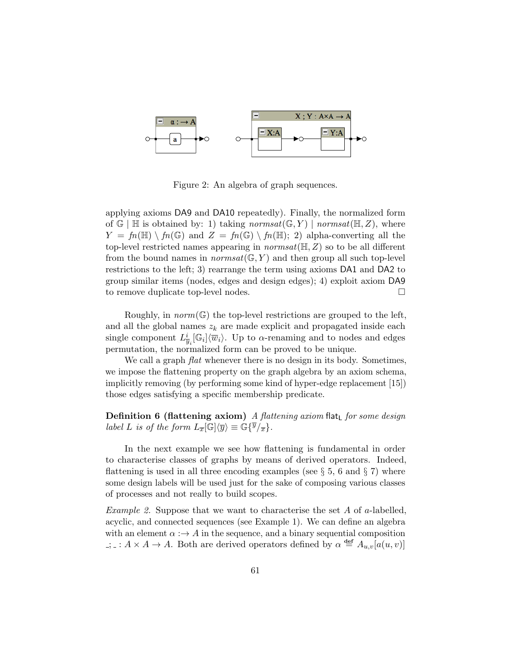

Figure 2: An algebra of graph sequences.

applying axioms DA9 and DA10 repeatedly). Finally, the normalized form of  $\mathbb{G} \mid \mathbb{H}$  is obtained by: 1) taking normsat $(\mathbb{G}, Y) \mid normal(\mathbb{H}, Z)$ , where  $Y = fn(\mathbb{H}) \setminus fn(\mathbb{G})$  and  $Z = fn(\mathbb{G}) \setminus fn(\mathbb{H}); 2)$  alpha-converting all the top-level restricted names appearing in  $normal(\mathbb{H}, Z)$  so to be all different from the bound names in *normsat*( $\mathbb{G}, Y$ ) and then group all such top-level restrictions to the left; 3) rearrange the term using axioms DA1 and DA2 to group similar items (nodes, edges and design edges); 4) exploit axiom DA9 to remove duplicate top-level nodes.

Roughly, in  $norm(\mathbb{G})$  the top-level restrictions are grouped to the left, and all the global names  $z_k$  are made explicit and propagated inside each single component  $L^i_{\overline{y}_i}[\mathbb{G}_i]\langle \overline{w}_i\rangle$ . Up to  $\alpha$ -renaming and to nodes and edges permutation, the normalized form can be proved to be unique.

We call a graph *flat* whenever there is no design in its body. Sometimes, we impose the flattening property on the graph algebra by an axiom schema, implicitly removing (by performing some kind of hyper-edge replacement [15]) those edges satisfying a specific membership predicate.

**Definition 6 (flattening axiom)** A flattening axiom flat<sub>L</sub> for some design label L is of the form  $L_{\overline{x}}[\mathbb{G}]\langle \overline{y}\rangle \equiv \mathbb{G}\{\overline{y}/_{\overline{x}}\}.$ 

In the next example we see how flattening is fundamental in order to characterise classes of graphs by means of derived operators. Indeed, flattening is used in all three encoding examples (see  $\S 5$ , 6 and  $\S 7$ ) where some design labels will be used just for the sake of composing various classes of processes and not really to build scopes.

*Example 2.* Suppose that we want to characterise the set A of a-labelled, acyclic, and connected sequences (see Example 1). We can define an algebra with an element  $\alpha : \rightarrow A$  in the sequence, and a binary sequential composition ;  $\therefore$  :  $A \times A \to A$ . Both are derived operators defined by  $\alpha \stackrel{\text{def}}{=} A_{u,v}[a(u,v)]$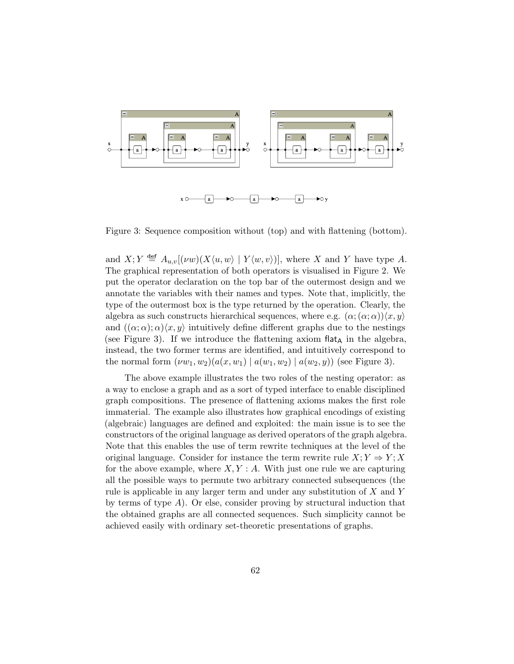

Figure 3: Sequence composition without (top) and with flattening (bottom).

and  $X; Y \triangleq A_{u,v}[(\nu w)(X\langle u, w \rangle \mid Y\langle w, v \rangle)],$  where X and Y have type A. The graphical representation of both operators is visualised in Figure 2. We put the operator declaration on the top bar of the outermost design and we annotate the variables with their names and types. Note that, implicitly, the type of the outermost box is the type returned by the operation. Clearly, the algebra as such constructs hierarchical sequences, where e.g.  $(\alpha; \alpha)$ ,  $\langle x, y \rangle$ and  $((\alpha, \alpha), \alpha)\langle x, y \rangle$  intuitively define different graphs due to the nestings (see Figure 3). If we introduce the flattening axiom flat<sub>A</sub> in the algebra, instead, the two former terms are identified, and intuitively correspond to the normal form  $(\nu w_1, w_2)(a(x, w_1) | a(w_1, w_2) | a(w_2, y))$  (see Figure 3).

The above example illustrates the two roles of the nesting operator: as a way to enclose a graph and as a sort of typed interface to enable disciplined graph compositions. The presence of flattening axioms makes the first role immaterial. The example also illustrates how graphical encodings of existing (algebraic) languages are defined and exploited: the main issue is to see the constructors of the original language as derived operators of the graph algebra. Note that this enables the use of term rewrite techniques at the level of the original language. Consider for instance the term rewrite rule  $X: Y \Rightarrow Y: X$ for the above example, where  $X, Y : A$ . With just one rule we are capturing all the possible ways to permute two arbitrary connected subsequences (the rule is applicable in any larger term and under any substitution of X and Y by terms of type  $A$ ). Or else, consider proving by structural induction that the obtained graphs are all connected sequences. Such simplicity cannot be achieved easily with ordinary set-theoretic presentations of graphs.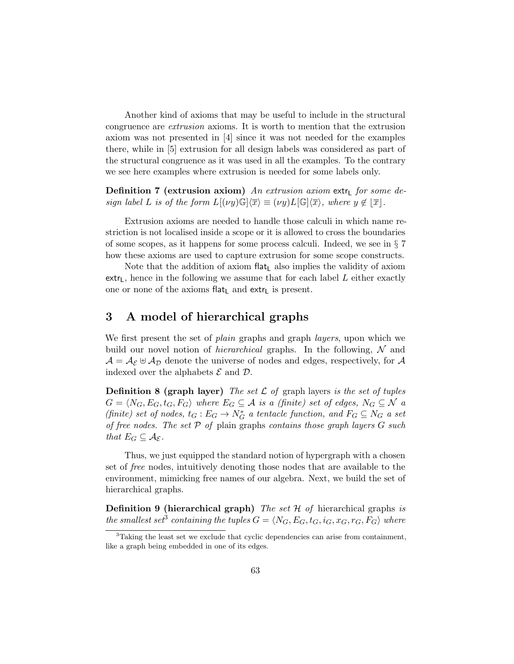Another kind of axioms that may be useful to include in the structural congruence are extrusion axioms. It is worth to mention that the extrusion axiom was not presented in [4] since it was not needed for the examples there, while in [5] extrusion for all design labels was considered as part of the structural congruence as it was used in all the examples. To the contrary we see here examples where extrusion is needed for some labels only.

**Definition 7 (extrusion axiom)** An extrusion axiom extr<sub>L</sub> for some design label L is of the form  $L[(\nu y)\mathbb{G}]\langle \overline{x}\rangle \equiv (\nu y)L[\mathbb{G}]\langle \overline{x}\rangle$ , where  $y \notin |\overline{x}|$ .

Extrusion axioms are needed to handle those calculi in which name restriction is not localised inside a scope or it is allowed to cross the boundaries of some scopes, as it happens for some process calculi. Indeed, we see in § 7 how these axioms are used to capture extrusion for some scope constructs.

Note that the addition of axiom flat<sub>L</sub> also implies the validity of axiom extr<sub>L</sub>, hence in the following we assume that for each label L either exactly one or none of the axioms flat<sub>L</sub> and  $ext{r}_L$  is present.

### 3 A model of hierarchical graphs

We first present the set of *plain* graphs and graph *layers*, upon which we build our novel notion of *hierarchical* graphs. In the following,  $N$  and  $\mathcal{A} = \mathcal{A}_{\mathcal{E}} \oplus \mathcal{A}_{\mathcal{D}}$  denote the universe of nodes and edges, respectively, for  $\mathcal{A}$ indexed over the alphabets  $\mathcal E$  and  $\mathcal D$ .

**Definition 8 (graph layer)** The set  $\mathcal L$  of graph layers is the set of tuples  $G = \langle N_G, E_G, t_G, F_G \rangle$  where  $E_G \subseteq \mathcal{A}$  is a (finite) set of edges,  $N_G \subseteq \mathcal{N}$  a (finite) set of nodes,  $t_G : E_G \to N_G^*$  a tentacle function, and  $F_G \subseteq N_G$  a set of free nodes. The set  $P$  of plain graphs contains those graph layers  $G$  such that  $E_G \subseteq \mathcal{A}_{\mathcal{E}}$ .

Thus, we just equipped the standard notion of hypergraph with a chosen set of free nodes, intuitively denoting those nodes that are available to the environment, mimicking free names of our algebra. Next, we build the set of hierarchical graphs.

**Definition 9 (hierarchical graph)** The set  $H$  of hierarchical graphs is the smallest set<sup>3</sup> containing the tuples  $G = \langle N_G, E_G, t_G, i_G, x_G, r_G, F_G \rangle$  where

 $3$ Taking the least set we exclude that cyclic dependencies can arise from containment, like a graph being embedded in one of its edges.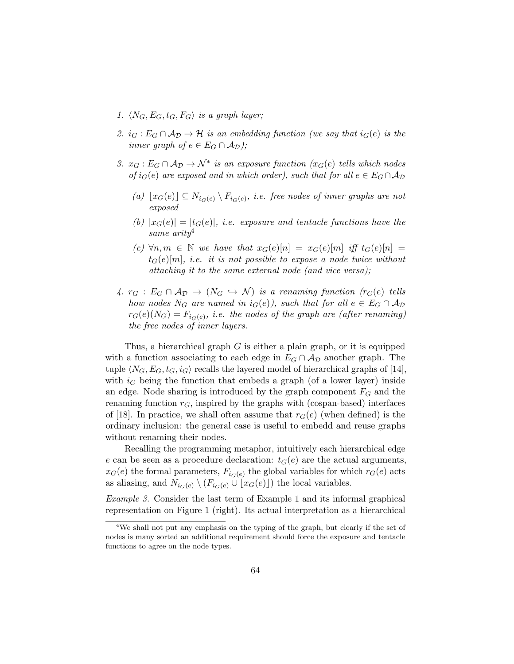- 1.  $\langle N_G, E_G, t_G, F_G \rangle$  is a graph layer;
- 2.  $i_G : E_G \cap A_D \to \mathcal{H}$  is an embedding function (we say that  $i_G(e)$  is the inner graph of  $e \in E_G \cap A_{\mathcal{D}}$ );
- 3.  $x_G : E_G \cap A_D \to \mathcal{N}^*$  is an exposure function  $(x_G(e)$  tells which nodes of  $i_G(e)$  are exposed and in which order), such that for all  $e \in E_G \cap A_D$ 
	- (a)  $\lfloor x_G(e) \rfloor \subseteq N_{i_G(e)} \setminus F_{i_G(e)},$  i.e. free nodes of inner graphs are not exposed
	- (b)  $|x_G(e)| = |t_G(e)|$ , *i.e.* exposure and tentacle functions have the same  $arity<sup>4</sup>$
	- (c)  $\forall n,m \in \mathbb{N}$  we have that  $x_G(e)[n] = x_G(e)[m]$  iff  $t_G(e)[n] =$  $t_G(e)[m]$ , i.e. it is not possible to expose a node twice without attaching it to the same external node (and vice versa);
- 4.  $r_G : E_G \cap A_D \to (N_G \hookrightarrow N)$  is a renaming function  $(r_G(e))$  tells how nodes  $N_G$  are named in  $i_G(e)$ , such that for all  $e \in E_G \cap \mathcal{A}_{\mathcal{D}}$  $r_G(e)(N_G) = F_{i_G(e)}, \ i.e. \ \ the \ nodes \ of \ the \ graph \ are \ (after \ remaining)$ the free nodes of inner layers.

Thus, a hierarchical graph G is either a plain graph, or it is equipped with a function associating to each edge in  $E_G \cap A_{\mathcal{D}}$  another graph. The tuple  $\langle N_G, E_G, t_G, i_G \rangle$  recalls the layered model of hierarchical graphs of [14], with  $i_G$  being the function that embeds a graph (of a lower layer) inside an edge. Node sharing is introduced by the graph component  $F_G$  and the renaming function  $r<sub>G</sub>$ , inspired by the graphs with (cospan-based) interfaces of [18]. In practice, we shall often assume that  $r_G(e)$  (when defined) is the ordinary inclusion: the general case is useful to embedd and reuse graphs without renaming their nodes.

Recalling the programming metaphor, intuitively each hierarchical edge e can be seen as a procedure declaration:  $t<sub>G</sub>(e)$  are the actual arguments,  $x_G(e)$  the formal parameters,  $F_{i_G(e)}$  the global variables for which  $r_G(e)$  acts as aliasing, and  $N_{i_G(e)} \setminus (F_{i_G(e)} \cup \mathcal{L}(x_G(e)))$  the local variables.

Example 3. Consider the last term of Example 1 and its informal graphical representation on Figure 1 (right). Its actual interpretation as a hierarchical

<sup>&</sup>lt;sup>4</sup>We shall not put any emphasis on the typing of the graph, but clearly if the set of nodes is many sorted an additional requirement should force the exposure and tentacle functions to agree on the node types.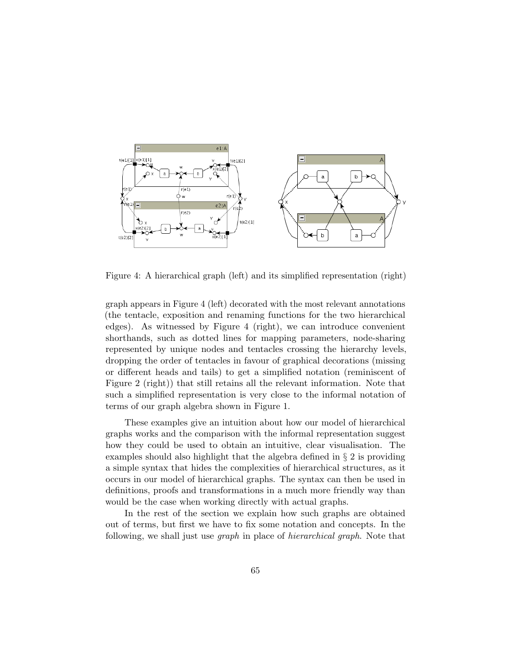

Figure 4: A hierarchical graph (left) and its simplified representation (right)

graph appears in Figure 4 (left) decorated with the most relevant annotations (the tentacle, exposition and renaming functions for the two hierarchical edges). As witnessed by Figure 4 (right), we can introduce convenient shorthands, such as dotted lines for mapping parameters, node-sharing represented by unique nodes and tentacles crossing the hierarchy levels, dropping the order of tentacles in favour of graphical decorations (missing or different heads and tails) to get a simplified notation (reminiscent of Figure 2 (right)) that still retains all the relevant information. Note that such a simplified representation is very close to the informal notation of terms of our graph algebra shown in Figure 1.

These examples give an intuition about how our model of hierarchical graphs works and the comparison with the informal representation suggest how they could be used to obtain an intuitive, clear visualisation. The examples should also highlight that the algebra defined in § 2 is providing a simple syntax that hides the complexities of hierarchical structures, as it occurs in our model of hierarchical graphs. The syntax can then be used in definitions, proofs and transformations in a much more friendly way than would be the case when working directly with actual graphs.

In the rest of the section we explain how such graphs are obtained out of terms, but first we have to fix some notation and concepts. In the following, we shall just use *graph* in place of *hierarchical graph*. Note that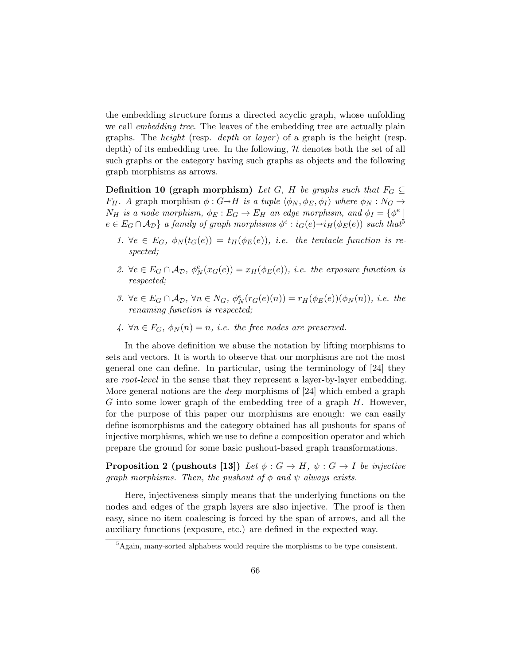the embedding structure forms a directed acyclic graph, whose unfolding we call *embedding tree*. The leaves of the embedding tree are actually plain graphs. The *height* (resp. *depth* or *layer*) of a graph is the height (resp. depth) of its embedding tree. In the following,  $H$  denotes both the set of all such graphs or the category having such graphs as objects and the following graph morphisms as arrows.

**Definition 10 (graph morphism)** Let G, H be graphs such that  $F_G \subseteq$  $F_H$ . A graph morphism  $\phi : G \rightarrow H$  is a tuple  $\langle \phi_N, \phi_E, \phi_I \rangle$  where  $\phi_N : N_G \rightarrow$  $N_H$  is a node morphism,  $\phi_E : E_G \to E_H$  an edge morphism, and  $\phi_I = \{ \phi^e \mid$  $e \in E_G \cap \mathcal{A}_{\mathcal{D}}\}\$ a family of graph morphisms  $\phi^e : i_G(e) \rightarrow i_H(\phi_E(e))$  such that<sup>5</sup>

- 1.  $\forall e \in E_G$ ,  $\phi_N(t_G(e)) = t_H(\phi_E(e))$ , i.e. the tentacle function is respected;
- 2.  $\forall e \in E_G \cap \mathcal{A}_{\mathcal{D}}, \phi_N^e(x_G(e)) = x_H(\phi_E(e)),$  i.e. the exposure function is respected;
- 3.  $\forall e \in E_G \cap \mathcal{A}_{\mathcal{D}}, \forall n \in N_G, \ \phi_N^e(r_G(e)(n)) = r_H(\phi_E(e))(\phi_N(n)), \ i.e. \ the$ renaming function is respected;
- 4.  $\forall n \in F_G$ ,  $\phi_N(n) = n$ , *i.e.* the free nodes are preserved.

In the above definition we abuse the notation by lifting morphisms to sets and vectors. It is worth to observe that our morphisms are not the most general one can define. In particular, using the terminology of [24] they are root-level in the sense that they represent a layer-by-layer embedding. More general notions are the deep morphisms of [24] which embed a graph G into some lower graph of the embedding tree of a graph  $H$ . However, for the purpose of this paper our morphisms are enough: we can easily define isomorphisms and the category obtained has all pushouts for spans of injective morphisms, which we use to define a composition operator and which prepare the ground for some basic pushout-based graph transformations.

**Proposition 2 (pushouts [13])** Let  $\phi : G \to H$ ,  $\psi : G \to I$  be injective graph morphisms. Then, the pushout of  $\phi$  and  $\psi$  always exists.

Here, injectiveness simply means that the underlying functions on the nodes and edges of the graph layers are also injective. The proof is then easy, since no item coalescing is forced by the span of arrows, and all the auxiliary functions (exposure, etc.) are defined in the expected way.

<sup>5</sup>Again, many-sorted alphabets would require the morphisms to be type consistent.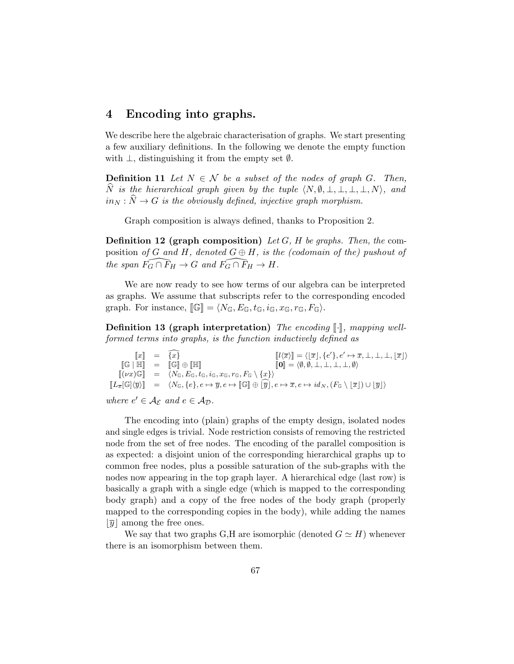### 4 Encoding into graphs.

We describe here the algebraic characterisation of graphs. We start presenting a few auxiliary definitions. In the following we denote the empty function with  $\perp$ , distinguishing it from the empty set  $\emptyset$ .

**Definition 11** Let  $N \in \mathcal{N}$  be a subset of the nodes of graph G. Then,  $\widehat{N}$  is the hierarchical graph given by the tuple  $\langle N, \emptyset, \bot, \bot, \bot, \bot, N \rangle$ , and  $in_N : \widehat{N} \to G$  is the obviously defined, injective graph morphism.

Graph composition is always defined, thanks to Proposition 2.

**Definition 12 (graph composition)** Let G, H be graphs. Then, the composition of G and H, denoted  $G \oplus H$ , is the (codomain of the) pushout of the span  $\tilde{F_G} \cap \tilde{F}_H \to G$  and  $\tilde{F_G} \cap \tilde{F}_H \to H$ .

We are now ready to see how terms of our algebra can be interpreted as graphs. We assume that subscripts refer to the corresponding encoded graph. For instance,  $[\![\mathbb{G}]\!] = \langle N_{\mathbb{G}}, E_{\mathbb{G}}, t_{\mathbb{G}}, i_{\mathbb{G}}, x_{\mathbb{G}}, r_{\mathbb{G}}, F_{\mathbb{G}}\rangle.$ 

Definition 13 (graph interpretation) The encoding  $\lbrack \cdot \rbrack$ , mapping wellformed terms into graphs, is the function inductively defined as

 $\begin{bmatrix} [x] \ \mathbb{I} \end{bmatrix} = \begin{bmatrix} \overline{x} \\ \overline{w} \end{bmatrix}$ <br>  $\begin{bmatrix} [x] \ \overline{x} \end{bmatrix} = \langle [x], \{e'\}, e' \mapsto \overline{x}, \bot, \bot, \bot, [\overline{x}] \rangle$  $\begin{bmatrix} \mathbb{G} \end{bmatrix} \mathbb{H}$  =  $\begin{bmatrix} \mathbb{G} \end{bmatrix} \oplus \begin{bmatrix} \mathbb{H} \end{bmatrix}$   $\begin{bmatrix} \mathbb{O} \end{bmatrix} = \langle \emptyset, \emptyset, \bot, \bot, \bot, \bot, \emptyset \rangle$  $\overline{[(\nu x)\mathbb{G}]} = \overline{\langle N_{\mathbb{G}}, E_{\mathbb{G}}, i_{\mathbb{G}}, i_{\mathbb{G}}, x_{\mathbb{G}}, r_{\mathbb{G}}, F_{\mathbb{G}} \setminus \{x\} \rangle}$  $\llbracket L_{\overline{x}}[\mathbb{G}]\langle\overline{y}\rangle\rrbracket = \langle N_{\mathbb{G}}, \{e\}, e \mapsto \overline{y}, e \mapsto \llbracket \mathbb{G} \rrbracket \oplus \lbrack \overline{y} \rbrack, e \mapsto \overline{x}, e \mapsto id_N, (F_{\mathbb{G}} \setminus \lvert \overline{x} \rvert) \cup \lvert \overline{y} \rvert \rangle$ 

where  $e' \in \mathcal{A}_{\mathcal{E}}$  and  $e \in \mathcal{A}_{\mathcal{D}}$ .

The encoding into (plain) graphs of the empty design, isolated nodes and single edges is trivial. Node restriction consists of removing the restricted node from the set of free nodes. The encoding of the parallel composition is as expected: a disjoint union of the corresponding hierarchical graphs up to common free nodes, plus a possible saturation of the sub-graphs with the nodes now appearing in the top graph layer. A hierarchical edge (last row) is basically a graph with a single edge (which is mapped to the corresponding body graph) and a copy of the free nodes of the body graph (properly mapped to the corresponding copies in the body), while adding the names  $|\overline{y}|$  among the free ones.

We say that two graphs G,H are isomorphic (denoted  $G \simeq H$ ) whenever there is an isomorphism between them.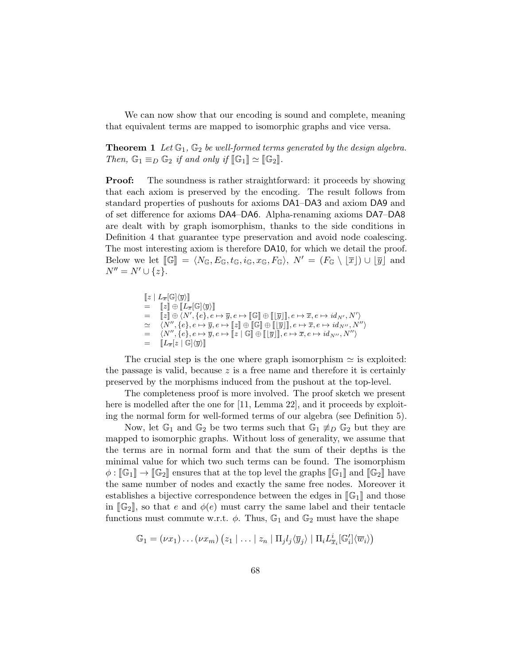We can now show that our encoding is sound and complete, meaning that equivalent terms are mapped to isomorphic graphs and vice versa.

**Theorem 1** Let  $\mathbb{G}_1$ ,  $\mathbb{G}_2$  be well-formed terms generated by the design algebra. Then,  $\mathbb{G}_1 \equiv_D \mathbb{G}_2$  if and only if  $[\mathbb{G}_1] \simeq [\mathbb{G}_2]$ .

**Proof:** The soundness is rather straightforward: it proceeds by showing that each axiom is preserved by the encoding. The result follows from standard properties of pushouts for axioms DA1–DA3 and axiom DA9 and of set difference for axioms DA4–DA6. Alpha-renaming axioms DA7–DA8 are dealt with by graph isomorphism, thanks to the side conditions in Definition 4 that guarantee type preservation and avoid node coalescing. The most interesting axiom is therefore DA10, for which we detail the proof. Below we let  $\llbracket \mathbb{G} \rrbracket = \langle N_{\mathbb{G}}, E_{\mathbb{G}}, t_{\mathbb{G}}, i_{\mathbb{G}}, x_{\mathbb{G}}, F_{\mathbb{G}} \rangle, N' = (F_{\mathbb{G}} \setminus |\overline{x}|) \cup |\overline{y}|$  and  $N'' = N' \cup \{z\}.$ 

> $[z | L_{\overline{x}}[\mathbb{G}]\langle\overline{y}\rangle]$  $= \llbracket z \rrbracket \oplus \llbracket L_{\overline{x}}[\mathbb{G}]\langle \overline{y} \rangle \rrbracket$  $=\quad \llbracket z \rrbracket \oplus \langle N', \{e\}, e \mapsto \overline{y}, e \mapsto \llbracket \mathbb{G} \rrbracket \oplus \llbracket \llbracket \overline{y} \rrbracket \rrbracket, e \mapsto \overline{x}, e \mapsto id_{N'}, N' \rangle$  $\simeq \langle N'', \{e\}, e \mapsto \overline{y}, e \mapsto [\![z]\!] \oplus [\![\mathfrak{S}]\!] \oplus [\![\mathfrak{S}]\!]$ ,  $e \mapsto \overline{x}, e \mapsto id_{N'',} N''$  $= \langle N'', \{e\}, e \mapsto \overline{y}, e \mapsto [\overline{z} \mid \mathbb{G}][\overline{y}]], e \mapsto \overline{x}, e \mapsto id_{N''}, N'' \rangle$ <br>  $= \mathbb{I}_{L}[\mathcal{L} \mid C]/\overline{\mathcal{L}} \setminus \mathbb{I}$  $= \left\| L_{\overline{x}}[z \mid \mathbb{G}] \langle \overline{y} \rangle \right\|$

The crucial step is the one where graph isomorphism  $\simeq$  is exploited: the passage is valid, because  $z$  is a free name and therefore it is certainly preserved by the morphisms induced from the pushout at the top-level.

The completeness proof is more involved. The proof sketch we present here is modelled after the one for [11, Lemma 22], and it proceeds by exploiting the normal form for well-formed terms of our algebra (see Definition 5).

Now, let  $\mathbb{G}_1$  and  $\mathbb{G}_2$  be two terms such that  $\mathbb{G}_1 \not\equiv_D \mathbb{G}_2$  but they are mapped to isomorphic graphs. Without loss of generality, we assume that the terms are in normal form and that the sum of their depths is the minimal value for which two such terms can be found. The isomorphism  $\phi : [\mathbb{G}_1] \to [\mathbb{G}_2]$  ensures that at the top level the graphs  $[\mathbb{G}_1]$  and  $[\mathbb{G}_2]$  have the same number of nodes and exactly the same free nodes. Moreover it establishes a bijective correspondence between the edges in  $\llbracket \mathbb{G}_1 \rrbracket$  and those in  $\llbracket \mathbb{G}_2 \rrbracket$ , so that e and  $\phi(e)$  must carry the same label and their tentacle functions must commute w.r.t.  $\phi$ . Thus,  $\mathbb{G}_1$  and  $\mathbb{G}_2$  must have the shape

$$
\mathbb{G}_1 = (\nu x_1) \dots (\nu x_m) (z_1 \mid \dots \mid z_n \mid \Pi_j l_j \langle \overline{y}_j \rangle \mid \Pi_i L_{\overline{x}_i}^i [\mathbb{G}_i'] \langle \overline{w}_i \rangle)
$$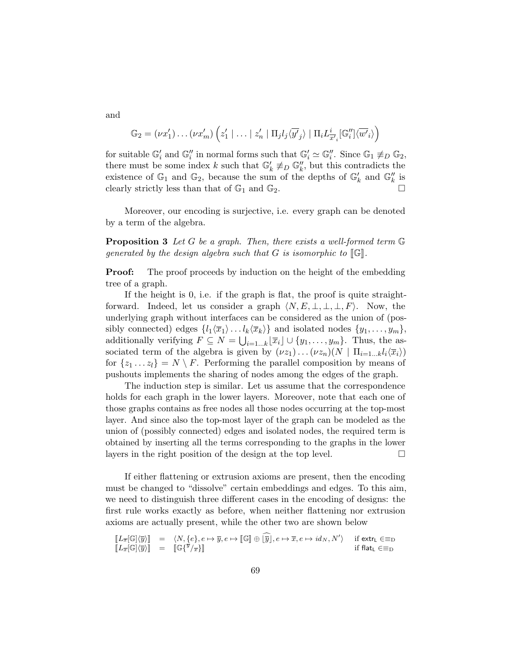and

$$
\mathbb{G}_2 = (\nu x_1') \dots (\nu x_m') \left( z_1' \mid \dots \mid z_n' \mid \Pi_j l_j \langle \overline{y'}_j \rangle \mid \Pi_i L_{\overline{x'}_i}^i [\mathbb{G}_i''] \langle \overline{w'}_i \rangle \right)
$$

for suitable  $\mathbb{G}_i'$  and  $\mathbb{G}_i''$  in normal forms such that  $\mathbb{G}_i' \simeq \mathbb{G}_i''$ . Since  $\mathbb{G}_1 \not\equiv_D \mathbb{G}_2$ , there must be some index k such that  $\mathbb{G}'_k \not\equiv_D \mathbb{G}''_k$ , but this contradicts the existence of  $\mathbb{G}_1$  and  $\mathbb{G}_2$ , because the sum of the depths of  $\mathbb{G}_k'$  and  $\mathbb{G}_k''$  is clearly strictly less than that of  $\mathbb{G}_1$  and  $\mathbb{G}_2$ .

Moreover, our encoding is surjective, i.e. every graph can be denoted by a term of the algebra.

**Proposition 3** Let G be a graph. Then, there exists a well-formed term  $\mathbb{G}$ generated by the design algebra such that  $G$  is isomorphic to  $[\![\mathbb{G}]\!]$ .

**Proof:** The proof proceeds by induction on the height of the embedding tree of a graph.

If the height is 0, i.e. if the graph is flat, the proof is quite straightforward. Indeed, let us consider a graph  $\langle N, E, \perp, \perp, \perp, F \rangle$ . Now, the underlying graph without interfaces can be considered as the union of (possibly connected) edges  $\{l_1\langle \overline{x}_1\rangle \dots l_k\langle \overline{x}_k\rangle\}$  and isolated nodes  $\{y_1, \dots, y_m\}$ , additionally verifying  $F \subseteq N = \bigcup_{i=1...k} \lfloor \overline{x}_i \rfloor \cup \{y_1, \ldots, y_m\}$ . Thus, the associated term of the algebra is given by  $(\nu z_1) \dots (\nu z_n)(N \mid \Pi_{i=1...k} l_i \langle \overline{x}_i \rangle)$ for  $\{z_1 \dots z_l\} = N \setminus F$ . Performing the parallel composition by means of pushouts implements the sharing of nodes among the edges of the graph.

The induction step is similar. Let us assume that the correspondence holds for each graph in the lower layers. Moreover, note that each one of those graphs contains as free nodes all those nodes occurring at the top-most layer. And since also the top-most layer of the graph can be modeled as the union of (possibly connected) edges and isolated nodes, the required term is obtained by inserting all the terms corresponding to the graphs in the lower layers in the right position of the design at the top level.  $\Box$ 

If either flattening or extrusion axioms are present, then the encoding must be changed to "dissolve" certain embeddings and edges. To this aim, we need to distinguish three different cases in the encoding of designs: the first rule works exactly as before, when neither flattening nor extrusion axioms are actually present, while the other two are shown below

$$
\begin{array}{rcl}\n\llbracket L_{\overline{x}}[\mathbb{G}]\langle\overline{y}\rangle\rrbracket & = & \langle N, \{e\}, e \mapsto \overline{y}, e \mapsto [\![\mathbb{G}]\!] \oplus [\overline{y}], e \mapsto \overline{x}, e \mapsto id_N, N'\rangle & \text{if extr}_L \in \equiv_{\mathcal{D}} \\
\llbracket L_{\overline{x}}[\mathbb{G}]\langle\overline{y}\rangle\rrbracket & = & \llbracket \mathbb{G}\{\overline{y}/\overline{x}\}\rrbracket\n\end{array}
$$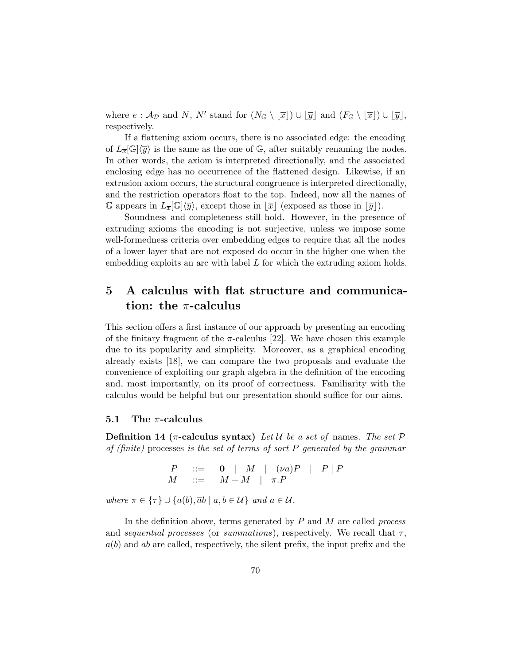where  $e : A_{\mathcal{D}}$  and N, N' stand for  $(N_{\mathbb{G}} \setminus [\overline{x}] ) \cup [\overline{y}]$  and  $(F_{\mathbb{G}} \setminus [\overline{x}] ) \cup [\overline{y}]$ , respectively.

If a flattening axiom occurs, there is no associated edge: the encoding of  $L_{\overline{x}}[\mathbb{G}]\langle\overline{y}\rangle$  is the same as the one of  $\mathbb{G}$ , after suitably renaming the nodes. In other words, the axiom is interpreted directionally, and the associated enclosing edge has no occurrence of the flattened design. Likewise, if an extrusion axiom occurs, the structural congruence is interpreted directionally, and the restriction operators float to the top. Indeed, now all the names of G appears in  $L_{\overline{x}}[\mathbb{G}]\langle\overline{y}\rangle$ , except those in  $|\overline{x}|$  (exposed as those in  $|\overline{y}|$ ).

Soundness and completeness still hold. However, in the presence of extruding axioms the encoding is not surjective, unless we impose some well-formedness criteria over embedding edges to require that all the nodes of a lower layer that are not exposed do occur in the higher one when the embedding exploits an arc with label  $L$  for which the extruding axiom holds.

# 5 A calculus with flat structure and communication: the  $\pi$ -calculus

This section offers a first instance of our approach by presenting an encoding of the finitary fragment of the  $\pi$ -calculus [22]. We have chosen this example due to its popularity and simplicity. Moreover, as a graphical encoding already exists [18], we can compare the two proposals and evaluate the convenience of exploiting our graph algebra in the definition of the encoding and, most importantly, on its proof of correctness. Familiarity with the calculus would be helpful but our presentation should suffice for our aims.

#### 5.1 The  $\pi$ -calculus

Definition 14 ( $\pi$ -calculus syntax) Let U be a set of names. The set  $\mathcal P$ of (finite) processes is the set of terms of sort  $P$  generated by the grammar

$$
\begin{array}{ccc}\nP & ::= & \mathbf{0} & | & M & | & (\nu a)P & | & P \mid P \\
M & ::= & M + M & | & \pi.P\n\end{array}
$$

where  $\pi \in {\tau} \cup {a(b), \overline{a}b \mid a, b \in \mathcal{U}}$  and  $a \in \mathcal{U}$ .

In the definition above, terms generated by  $P$  and  $M$  are called process and sequential processes (or summations), respectively. We recall that  $\tau$ ,  $a(b)$  and  $\bar{a}b$  are called, respectively, the silent prefix, the input prefix and the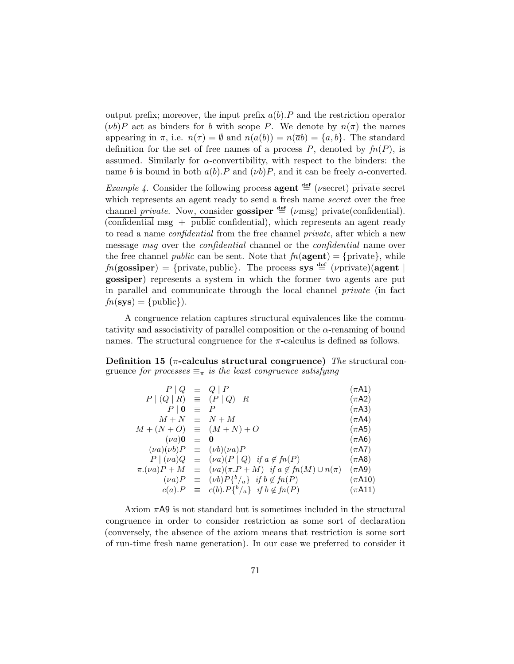output prefix; moreover, the input prefix  $a(b)$ . P and the restriction operator  $(\nu b)P$  act as binders for b with scope P. We denote by  $n(\pi)$  the names appearing in  $\pi$ , i.e.  $n(\tau) = \emptyset$  and  $n(a(b)) = n(\overline{a}b) = \{a, b\}$ . The standard definition for the set of free names of a process  $P$ , denoted by  $fn(P)$ , is assumed. Similarly for  $\alpha$ -convertibility, with respect to the binders: the name b is bound in both  $a(b)$ . P and  $(\nu b)P$ , and it can be freely  $\alpha$ -converted.

*Example 4.* Consider the following process **agent**  $\frac{def}{=}$  (*v*secret) private secret which represents an agent ready to send a fresh name *secret* over the free channel *private*. Now, consider **gossiper**  $\stackrel{\text{def}}{=} (\nu \text{msg})$  private(confidential).  $\overline{\text{confidential}}\text{ msg }+\overline{\text{public}}\text{confidential},$  which represents an agent ready to read a name *confidential* from the free channel *private*, after which a new message msq over the *confidential* channel or the *confidential* name over the free channel *public* can be sent. Note that  $fn(\text{agent}) = \{private\}$ , while  $fn(gosisper) = {private, public}.$  The process sys  $\stackrel{\text{def}}{=} (\nu)$  private)(agent | gossiper) represents a system in which the former two agents are put in parallel and communicate through the local channel private (in fact  $fn(sys) = {public}.$ 

A congruence relation captures structural equivalences like the commutativity and associativity of parallel composition or the  $\alpha$ -renaming of bound names. The structural congruence for the  $\pi$ -calculus is defined as follows.

Definition 15 ( $\pi$ -calculus structural congruence) The structural congruence for processes  $\equiv_{\pi}$  is the least congruence satisfying

| $P \mid Q \equiv Q \mid P$       |            |                                                                              | $(\pi A1)$  |
|----------------------------------|------------|------------------------------------------------------------------------------|-------------|
| $P (Q R) \equiv (P Q) R$         |            |                                                                              | $(\pi A2)$  |
| $P\mid 0$                        | $\equiv$ P |                                                                              | $(\pi A3)$  |
| $M+N \equiv N+M$                 |            |                                                                              | $(\pi A4)$  |
| $M + (N + O) \equiv (M + N) + O$ |            |                                                                              | $(\pi A5)$  |
| $(\nu a)$ 0 $\equiv$ 0           |            |                                                                              | $(\pi A6)$  |
|                                  |            | $(\nu a)(\nu b)P \equiv (\nu b)(\nu a)P$                                     | $(\pi A7)$  |
|                                  |            | $P   (\nu a)Q = (\nu a)(P   Q)$ if $a \notin fn(P)$                          | $(\pi A8)$  |
|                                  |            | $\pi.(\nu a)P + M \equiv (\nu a)(\pi.P + M)$ if $a \notin fn(M) \cup n(\pi)$ | $(\pi A9)$  |
|                                  |            | $(\nu a)P \equiv (\nu b)P\{^b/_a\}$ if $b \notin fn(P)$                      | $(\pi A10)$ |
|                                  |            | $c(a).P \equiv c(b).P\{^b/_a\}$ if $b \notin fn(P)$                          | $(\pi A11)$ |

Axiom  $\pi$ A9 is not standard but is sometimes included in the structural congruence in order to consider restriction as some sort of declaration (conversely, the absence of the axiom means that restriction is some sort of run-time fresh name generation). In our case we preferred to consider it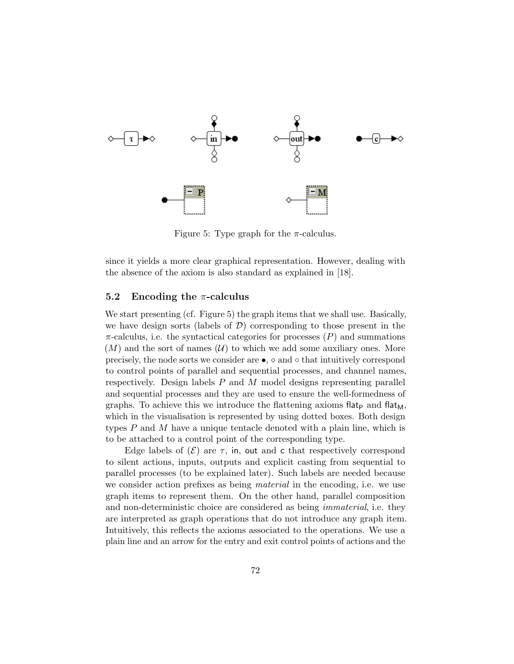

Figure 5: Type graph for the  $\pi$ -calculus.

since it yields a more clear graphical representation. However, dealing with the absence of the axiom is also standard as explained in [18].

#### 5.2 Encoding the  $\pi$ -calculus

We start presenting (cf. Figure 5) the graph items that we shall use. Basically, we have design sorts (labels of  $\mathcal{D}$ ) corresponding to those present in the  $\pi$ -calculus, i.e. the syntactical categories for processes  $(P)$  and summations  $(M)$  and the sort of names  $(U)$  to which we add some auxiliary ones. More precisely, the node sorts we consider are  $\bullet$ ,  $\diamond$  and  $\diamond$  that intuitively correspond to control points of parallel and sequential processes, and channel names, respectively. Design labels  $P$  and  $M$  model designs representing parallel and sequential processes and they are used to ensure the well-formedness of graphs. To achieve this we introduce the flattening axioms flat- $\mu$  and flat $\mu$ , which in the visualisation is represented by using dotted boxes. Both design types  $P$  and  $M$  have a unique tentacle denoted with a plain line, which is to be attached to a control point of the corresponding type.

Edge labels of  $(\mathcal{E})$  are  $\tau$ , in, out and c that respectively correspond to silent actions, inputs, outputs and explicit casting from sequential to parallel processes (to be explained later). Such labels are needed because we consider action prefixes as being *material* in the encoding, i.e. we use graph items to represent them. On the other hand, parallel composition and non-deterministic choice are considered as being *immaterial*, i.e. they are interpreted as graph operations that do not introduce any graph item. Intuitively, this reflects the axioms associated to the operations. We use a plain line and an arrow for the entry and exit control points of actions and the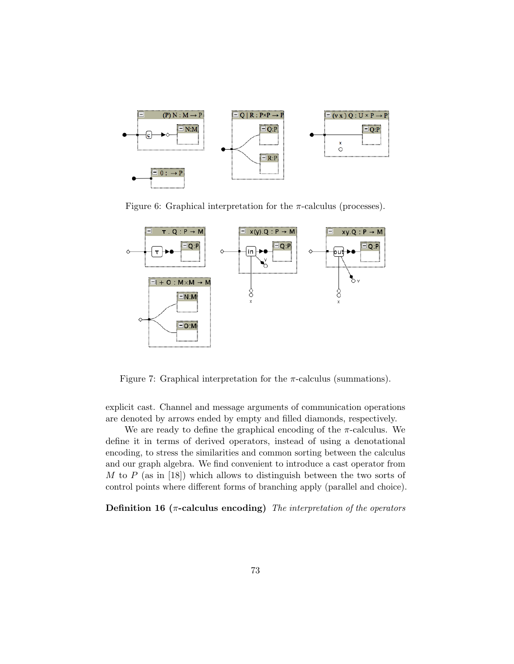

Figure 6: Graphical interpretation for the  $\pi$ -calculus (processes).



Figure 7: Graphical interpretation for the  $\pi$ -calculus (summations).

explicit cast. Channel and message arguments of communication operations are denoted by arrows ended by empty and filled diamonds, respectively.

We are ready to define the graphical encoding of the  $\pi$ -calculus. We define it in terms of derived operators, instead of using a denotational encoding, to stress the similarities and common sorting between the calculus and our graph algebra. We find convenient to introduce a cast operator from M to P (as in [18]) which allows to distinguish between the two sorts of control points where different forms of branching apply (parallel and choice).

Definition 16 ( $\pi$ -calculus encoding) The interpretation of the operators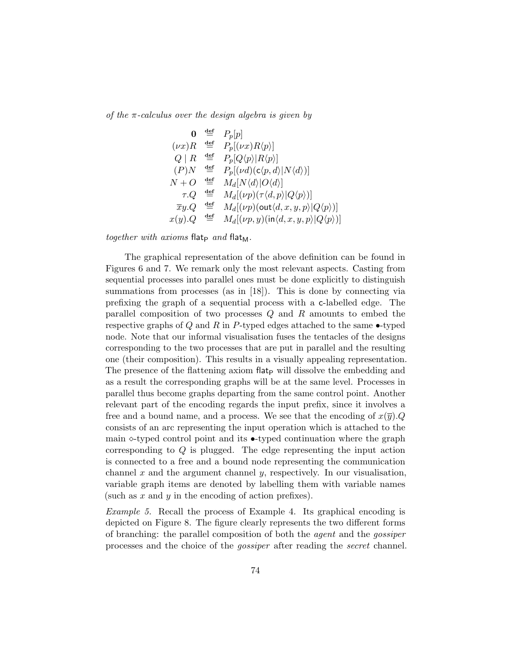of the  $\pi$ -calculus over the design algebra is given by

$$
\begin{array}{ccc}\n\mathbf{0} & \stackrel{\text{def}}{=} & P_p[p] \\
(\nu x)R & \stackrel{\text{def}}{=} & P_p[(\nu x)R\langle p)] \\
Q \mid R & \stackrel{\text{def}}{=} & P_p[Q\langle p \rangle | R\langle p \rangle] \\
(P)N & \stackrel{\text{def}}{=} & P_p[(\nu d)(c\langle p, d \rangle | N\langle d \rangle)] \\
N + O & \stackrel{\text{def}}{=} & M_d[N\langle d \rangle | O\langle d)] \\
\tau.Q & \stackrel{\text{def}}{=} & M_d[(\nu p)(\tau \langle d, p \rangle | Q\langle p \rangle)] \\
\overline{x}y.Q & \stackrel{\text{def}}{=} & M_d[(\nu p)(\text{out} \langle d, x, y, p \rangle | Q\langle p \rangle)] \\
x(y).Q & \stackrel{\text{def}}{=} & M_d[(\nu p, y)(\text{in} \langle d, x, y, p \rangle | Q\langle p \rangle)]\n\end{array}
$$

together with axioms flat<sub>p</sub> and flat<sub>M</sub>.

The graphical representation of the above definition can be found in Figures 6 and 7. We remark only the most relevant aspects. Casting from sequential processes into parallel ones must be done explicitly to distinguish summations from processes (as in [18]). This is done by connecting via prefixing the graph of a sequential process with a c-labelled edge. The parallel composition of two processes Q and R amounts to embed the respective graphs of  $Q$  and  $R$  in P-typed edges attached to the same  $\bullet$ -typed node. Note that our informal visualisation fuses the tentacles of the designs corresponding to the two processes that are put in parallel and the resulting one (their composition). This results in a visually appealing representation. The presence of the flattening axiom flatter will dissolve the embedding and as a result the corresponding graphs will be at the same level. Processes in parallel thus become graphs departing from the same control point. Another relevant part of the encoding regards the input prefix, since it involves a free and a bound name, and a process. We see that the encoding of  $x(\overline{y})$ . consists of an arc representing the input operation which is attached to the main  $\sim$ -typed control point and its  $\bullet$ -typed continuation where the graph corresponding to Q is plugged. The edge representing the input action is connected to a free and a bound node representing the communication channel x and the argument channel y, respectively. In our visualisation, variable graph items are denoted by labelling them with variable names (such as  $x$  and  $y$  in the encoding of action prefixes).

Example 5. Recall the process of Example 4. Its graphical encoding is depicted on Figure 8. The figure clearly represents the two different forms of branching: the parallel composition of both the agent and the gossiper processes and the choice of the gossiper after reading the secret channel.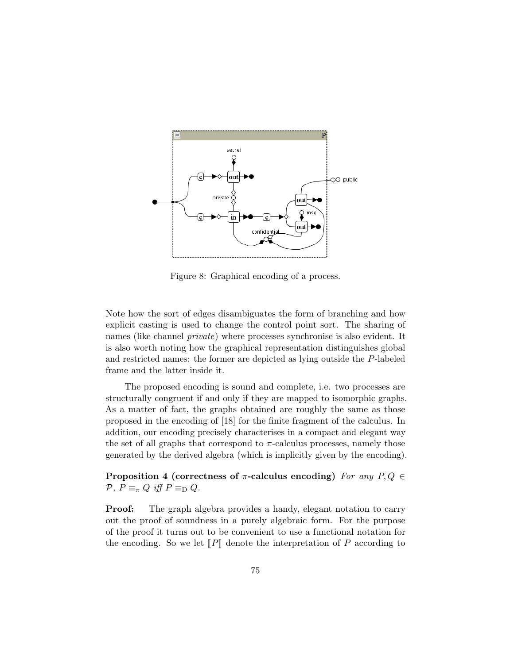

Figure 8: Graphical encoding of a process.

Note how the sort of edges disambiguates the form of branching and how explicit casting is used to change the control point sort. The sharing of names (like channel private) where processes synchronise is also evident. It is also worth noting how the graphical representation distinguishes global and restricted names: the former are depicted as lying outside the P-labeled frame and the latter inside it.

The proposed encoding is sound and complete, i.e. two processes are structurally congruent if and only if they are mapped to isomorphic graphs. As a matter of fact, the graphs obtained are roughly the same as those proposed in the encoding of [18] for the finite fragment of the calculus. In addition, our encoding precisely characterises in a compact and elegant way the set of all graphs that correspond to  $\pi$ -calculus processes, namely those generated by the derived algebra (which is implicitly given by the encoding).

Proposition 4 (correctness of  $\pi$ -calculus encoding) For any P, Q  $\in$  $\mathcal{P}, P \equiv_{\pi} Q$  iff  $P \equiv_{\text{D}} Q$ .

**Proof:** The graph algebra provides a handy, elegant notation to carry out the proof of soundness in a purely algebraic form. For the purpose of the proof it turns out to be convenient to use a functional notation for the encoding. So we let  $\llbracket P \rrbracket$  denote the interpretation of P according to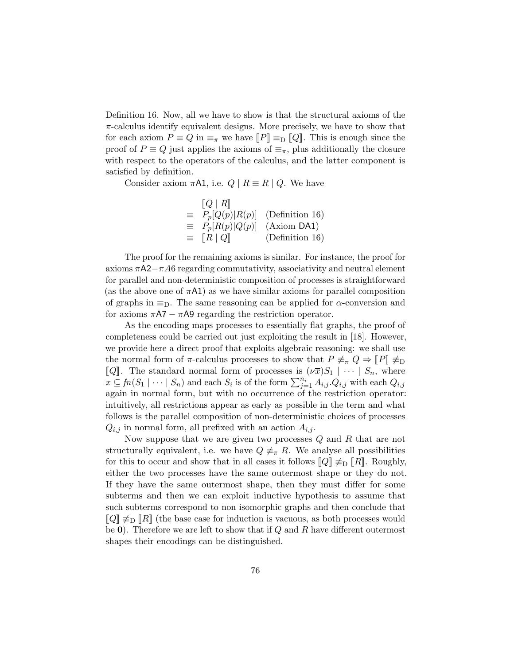Definition 16. Now, all we have to show is that the structural axioms of the  $\pi$ -calculus identify equivalent designs. More precisely, we have to show that for each axiom  $P \equiv Q$  in  $\equiv_{\pi}$  we have  $||P|| \equiv_{\text{D}} ||Q||$ . This is enough since the proof of  $P \equiv Q$  just applies the axioms of  $\equiv_{\pi}$ , plus additionally the closure with respect to the operators of the calculus, and the latter component is satisfied by definition.

Consider axiom  $\pi A1$ , i.e.  $Q \mid R \equiv R \mid Q$ . We have

|          | $[Q \mid R]$                     |                 |
|----------|----------------------------------|-----------------|
| $\equiv$ | $P_p[Q(p) R(p)]$                 | (Definition 16) |
|          | $\equiv P_p[R(p) Q(p)]$          | $(Axiom DA1)$   |
| $\equiv$ | $\llbracket R \mid Q \rrbracket$ | (Definition 16) |
|          |                                  |                 |

The proof for the remaining axioms is similar. For instance, the proof for axioms  $\pi A2-\pi A6$  regarding commutativity, associativity and neutral element for parallel and non-deterministic composition of processes is straightforward (as the above one of  $\pi$ A1) as we have similar axioms for parallel composition of graphs in  $\equiv_{\mathcal{D}}$ . The same reasoning can be applied for  $\alpha$ -conversion and for axioms  $\pi A7 - \pi A9$  regarding the restriction operator.

As the encoding maps processes to essentially flat graphs, the proof of completeness could be carried out just exploiting the result in [18]. However, we provide here a direct proof that exploits algebraic reasoning: we shall use the normal form of  $\pi$ -calculus processes to show that  $P \not\equiv_{\pi} Q \Rightarrow [P] \not\equiv_{\text{D}}$ [*Q*]. The standard normal form of processes is  $(\nu \bar{x})S_1 \mid \cdots \mid S_n$ , where  $\overline{x} \subseteq fn(S_1 \mid \cdots \mid S_n)$  and each  $S_i$  is of the form  $\sum_{j=1}^{n_i} A_{i,j} Q_{i,j}$  with each  $Q_{i,j}$ again in normal form, but with no occurrence of the restriction operator: intuitively, all restrictions appear as early as possible in the term and what follows is the parallel composition of non-deterministic choices of processes  $Q_{i,j}$  in normal form, all prefixed with an action  $A_{i,j}$ .

Now suppose that we are given two processes Q and R that are not structurally equivalent, i.e. we have  $Q \neq_{\pi} R$ . We analyse all possibilities for this to occur and show that in all cases it follows  $\llbracket Q \rrbracket \neq_D \llbracket R \rrbracket$ . Roughly, either the two processes have the same outermost shape or they do not. If they have the same outermost shape, then they must differ for some subterms and then we can exploit inductive hypothesis to assume that such subterms correspond to non isomorphic graphs and then conclude that  $\llbracket Q \rrbracket \not\equiv_{\text{D}} \llbracket R \rrbracket$  (the base case for induction is vacuous, as both processes would be  $\mathbf{0}$ ). Therefore we are left to show that if Q and R have different outermost shapes their encodings can be distinguished.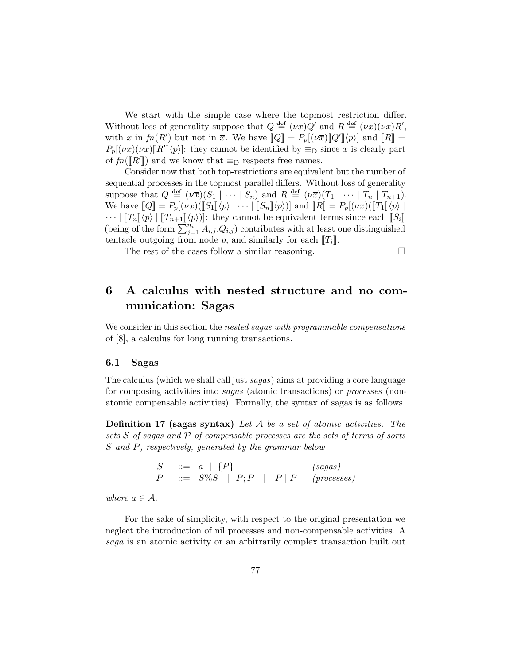We start with the simple case where the topmost restriction differ. Without loss of generality suppose that  $Q \stackrel{\text{def}}{=} (\nu \bar{x})Q'$  and  $R \stackrel{\text{def}}{=} (\nu x)(\nu \bar{x})R'$ , with x in  $fn(R')$  but not in  $\overline{x}$ . We have  $[Q] = P_p[(\nu \overline{x})[Q']\langle p\rangle]$  and  $[R] = P_p[(\nu \overline{x})(\nu \overline{x})[P']\langle p\rangle]$  they cannot be identified by  $\overline{x}$  and  $\overline{x}$  and  $[R]$  $P_p[(\nu x)(\nu \overline{x})[R'](p)]$ : they cannot be identified by  $\equiv_D$  since x is clearly part of  $fn([R'])$  and we know that  $\equiv_D$  respects free names.<br>Consider now that both top restrictions are conjugated

Consider now that both top-restrictions are equivalent but the number of sequential processes in the topmost parallel differs. Without loss of generality suppose that  $Q \triangleq (\nu \bar{x})(S_1 \mid \cdots \mid S_n)$  and  $R \triangleq (\nu \bar{x})(T_1 \mid \cdots \mid T_n \mid T_{n+1}).$ We have  $\llbracket Q \rrbracket = P_p[(\nu \overline{x})(\llbracket S_1 \rrbracket \langle p \rangle \mid \cdots \mid \llbracket S_n \rrbracket \langle p \rangle)]$  and  $\llbracket R \rrbracket = P_p[(\nu \overline{x})(\llbracket T_1 \rrbracket \langle p \rangle \mid$  $\cdots$   $\|T_n\|\langle p\rangle |T_{n+1}\|\langle p\rangle|$ : they cannot be equivalent terms since each  $\|S_i\|$ (being of the form  $\sum_{j=1}^{n_i} A_{i,j} Q_{i,j}$ ) contributes with at least one distinguished tentacle outgoing from node p, and similarly for each  $T_i$ .

The rest of the cases follow a similar reasoning.

6 A calculus with nested structure and no communication: Sagas

We consider in this section the *nested sagas with programmable compensations* of [8], a calculus for long running transactions.

#### 6.1 Sagas

The calculus (which we shall call just sagas) aims at providing a core language for composing activities into sagas (atomic transactions) or processes (nonatomic compensable activities). Formally, the syntax of sagas is as follows.

**Definition 17 (sagas syntax)** Let  $A$  be a set of atomic activities. The sets S of sagas and P of compensable processes are the sets of terms of sorts S and P, respectively, generated by the grammar below

> $S \quad ::= \quad a \mid \{P\} \quad (sagas)$  $P$  ::=  $S\%S$  |  $P; P$  |  $P | P$  (processes)

where  $a \in \mathcal{A}$ .

For the sake of simplicity, with respect to the original presentation we neglect the introduction of nil processes and non-compensable activities. A saga is an atomic activity or an arbitrarily complex transaction built out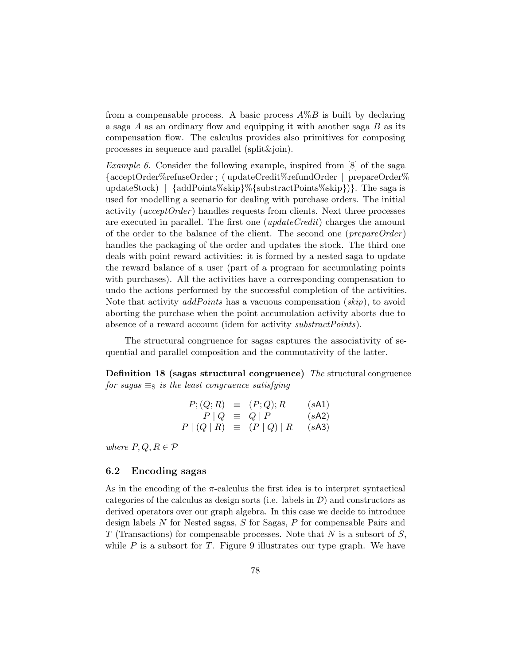from a compensable process. A basic process  $A\%B$  is built by declaring a saga  $A$  as an ordinary flow and equipping it with another saga  $B$  as its compensation flow. The calculus provides also primitives for composing processes in sequence and parallel (split&join).

*Example 6.* Consider the following example, inspired from  $[8]$  of the saga {acceptOrder%refuseOrder ; ( updateCredit%refundOrder | prepareOrder% updateStock) | {addPoints%skip}%{substractPoints%skip})}. The saga is used for modelling a scenario for dealing with purchase orders. The initial activity (*acceptOrder*) handles requests from clients. Next three processes are executed in parallel. The first one  $(\textit{updateCredit})$  charges the amount of the order to the balance of the client. The second one ( $prepareOrder$ ) handles the packaging of the order and updates the stock. The third one deals with point reward activities: it is formed by a nested saga to update the reward balance of a user (part of a program for accumulating points with purchases). All the activities have a corresponding compensation to undo the actions performed by the successful completion of the activities. Note that activity addPoints has a vacuous compensation (skip), to avoid aborting the purchase when the point accumulation activity aborts due to absence of a reward account (idem for activity *substractPoints*).

The structural congruence for sagas captures the associativity of sequential and parallel composition and the commutativity of the latter.

Definition 18 (sagas structural congruence) The structural congruence for sagas  $\equiv_{\rm S}$  is the least congruence satisfying

$$
P; (Q; R) \equiv (P; Q); R \qquad (sA1)
$$
  
\n
$$
P | Q \equiv Q | P \qquad (sA2)
$$
  
\n
$$
P | (Q | R) \equiv (P | Q) | R \qquad (sA3)
$$

where  $P, Q, R \in \mathcal{P}$ 

#### 6.2 Encoding sagas

As in the encoding of the  $\pi$ -calculus the first idea is to interpret syntactical categories of the calculus as design sorts (i.e. labels in  $\mathcal{D}$ ) and constructors as derived operators over our graph algebra. In this case we decide to introduce design labels N for Nested sagas, S for Sagas, P for compensable Pairs and  $T$  (Transactions) for compensable processes. Note that  $N$  is a subsort of  $S$ , while  $P$  is a subsort for  $T$ . Figure 9 illustrates our type graph. We have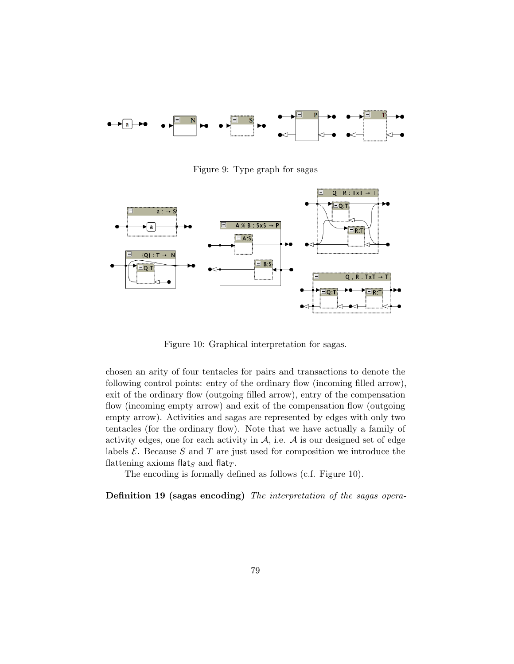

Figure 9: Type graph for sagas



Figure 10: Graphical interpretation for sagas.

chosen an arity of four tentacles for pairs and transactions to denote the following control points: entry of the ordinary flow (incoming filled arrow), exit of the ordinary flow (outgoing filled arrow), entry of the compensation flow (incoming empty arrow) and exit of the compensation flow (outgoing empty arrow). Activities and sagas are represented by edges with only two tentacles (for the ordinary flow). Note that we have actually a family of activity edges, one for each activity in  $A$ , i.e.  $A$  is our designed set of edge labels  $\mathcal{E}$ . Because  $S$  and  $T$  are just used for composition we introduce the flattening axioms flat<sub>S</sub> and flat<sub>T</sub>.

The encoding is formally defined as follows (c.f. Figure 10).

Definition 19 (sagas encoding) The interpretation of the sagas opera-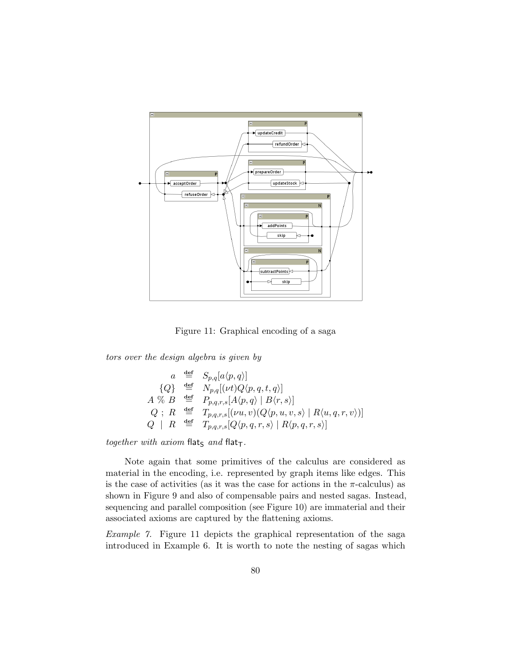

Figure 11: Graphical encoding of a saga

tors over the design algebra is given by

$$
a \stackrel{\text{def}}{=} S_{p,q}[a\langle p,q \rangle]
$$
  
\n
$$
\{Q\} \stackrel{\text{def}}{=} N_{p,q}[(\nu t)Q\langle p,q,t,q \rangle]
$$
  
\n
$$
A \stackrel{\text{def}}{=} B \stackrel{\text{def}}{=} P_{p,q,r,s}[A\langle p,q \rangle | B\langle r,s \rangle]
$$
  
\n
$$
Q \; ; \; R \stackrel{\text{def}}{=} T_{p,q,r,s}[(\nu u,v)(Q\langle p,u,v,s \rangle | R\langle u,q,r,v \rangle)]
$$
  
\n
$$
Q \; | \; R \stackrel{\text{def}}{=} T_{p,q,r,s}[Q\langle p,q,r,s \rangle | R\langle p,q,r,s \rangle]
$$

together with axiom flats and flat-

Note again that some primitives of the calculus are considered as material in the encoding, i.e. represented by graph items like edges. This is the case of activities (as it was the case for actions in the  $\pi$ -calculus) as shown in Figure 9 and also of compensable pairs and nested sagas. Instead, sequencing and parallel composition (see Figure 10) are immaterial and their associated axioms are captured by the flattening axioms.

Example 7. Figure 11 depicts the graphical representation of the saga introduced in Example 6. It is worth to note the nesting of sagas which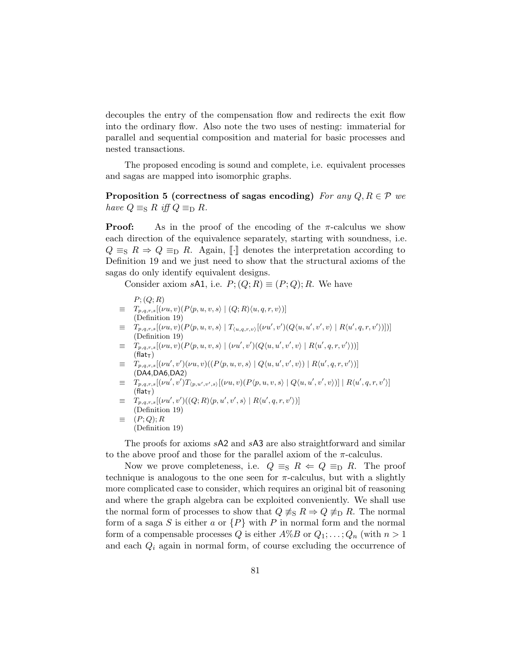decouples the entry of the compensation flow and redirects the exit flow into the ordinary flow. Also note the two uses of nesting: immaterial for parallel and sequential composition and material for basic processes and nested transactions.

The proposed encoding is sound and complete, i.e. equivalent processes and sagas are mapped into isomorphic graphs.

Proposition 5 (correctness of sagas encoding) For any  $Q, R \in \mathcal{P}$  we have  $Q \equiv_{\rm S} R$  iff  $Q \equiv_{\rm D} R$ .

**Proof:** As in the proof of the encoding of the  $\pi$ -calculus we show each direction of the equivalence separately, starting with soundness, i.e.  $Q \equiv_{\rm S} R \Rightarrow Q \equiv_{\rm D} R$ . Again,  $\llbracket \cdot \rrbracket$  denotes the interpretation according to Definition 19 and we just need to show that the structural axioms of the sagas do only identify equivalent designs.

Consider axiom sA1, i.e.  $P$ ;  $(Q; R) \equiv (P; Q); R$ . We have

$$
P; (Q; R)
$$

- $T_{p,q,r,s}[(\nu u, v)(P(p, u, v, s) | (Q; R)\langle u, q, r, v\rangle)]$ (Definition 19)
- $\equiv T_{p,q,r,s}[(\nu u,v)(P(p,u,v,s) | T_{(u,q,r,v)}[(\nu u',v')(Q\langle u,u',v',v\rangle | R\langle u',q,r,v')]])]$ (Definition 19)
- $\equiv T_{p,q,r,s}[(\nu u,v)(P\langle p,u,v,s\rangle \mid (\nu u',v')(Q\langle u,u',v',v\rangle \mid R\langle u',q,r,v'\rangle))]$  $(Hat<sub>T</sub>)$
- $\equiv T_{p,q,r,s}[(\nu u',v')(\nu u,v)((P(p,u,v,s) | Q\langle u,u',v',v \rangle) | R\langle u',q,r,v' \rangle)]$ (DA4,DA6,DA2)
- $\equiv T_{p,q,r,s}[(\nu u',v')T_{(p,u',v',s)}[(\nu u,v)(P(p,u,v,s) | Q(u,u',v',v))] | R(u',q,r,v')]$  $(flat<sub>T</sub>)$
- $\equiv T_{p,q,r,s}[(\nu u',v')((Q;R)\langle p,u',v',s\rangle | R\langle u',q,r,v'\rangle)]$ (Definition 19)  $\equiv (P; Q); R$
- (Definition 19)

The proofs for axioms sA2 and sA3 are also straightforward and similar to the above proof and those for the parallel axiom of the  $\pi$ -calculus.

Now we prove completeness, i.e.  $Q \equiv_{\text{S}} R \Leftarrow Q \equiv_{\text{D}} R$ . The proof technique is analogous to the one seen for  $\pi$ -calculus, but with a slightly more complicated case to consider, which requires an original bit of reasoning and where the graph algebra can be exploited conveniently. We shall use the normal form of processes to show that  $Q \neq_{\rm S} R \Rightarrow Q \neq_{\rm D} R$ . The normal form of a saga S is either a or  $\{P\}$  with P in normal form and the normal form of a compensable processes Q is either  $A\%B$  or  $Q_1; \ldots; Q_n$  (with  $n > 1$ and each  $Q_i$  again in normal form, of course excluding the occurrence of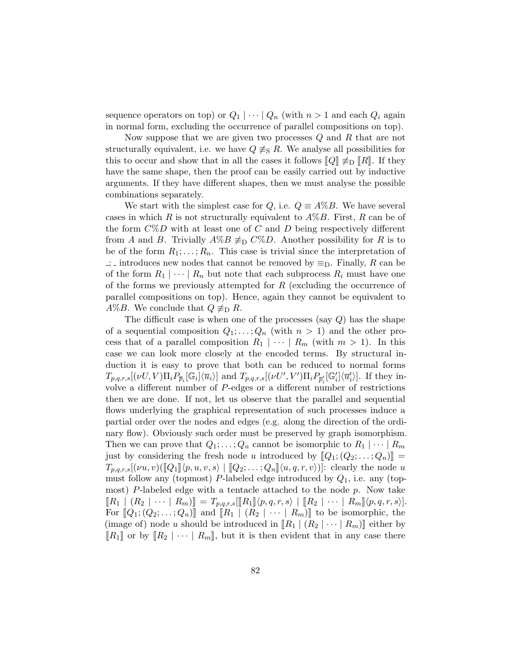sequence operators on top) or  $Q_1 \mid \cdots \mid Q_n$  (with  $n > 1$  and each  $Q_i$  again in normal form, excluding the occurrence of parallel compositions on top).

Now suppose that we are given two processes  $Q$  and  $R$  that are not structurally equivalent, i.e. we have  $Q \neq S$  R. We analyse all possibilities for this to occur and show that in all the cases it follows  $\llbracket Q \rrbracket \neq_{\text{D}} \llbracket R \rrbracket$ . If they have the same shape, then the proof can be easily carried out by inductive arguments. If they have different shapes, then we must analyse the possible combinations separately.

We start with the simplest case for Q, i.e.  $Q \equiv A\%B$ . We have several cases in which R is not structurally equivalent to  $A\%B$ . First, R can be of the form  $C\%D$  with at least one of C and D being respectively different from A and B. Trivially  $A\%B \neq_D C\%D$ . Another possibility for R is to be of the form  $R_1; \ldots; R_n$ . This case is trivial since the interpretation of  $\pm$ ; introduces new nodes that cannot be removed by  $\equiv_D$ . Finally, R can be of the form  $R_1 \mid \cdots \mid R_n$  but note that each subprocess  $R_i$  must have one of the forms we previously attempted for  $R$  (excluding the occurrence of parallel compositions on top). Hence, again they cannot be equivalent to A%B. We conclude that  $Q \not\equiv_{\text{D}} R$ .

The difficult case is when one of the processes (say  $Q$ ) has the shape of a sequential composition  $Q_1; \ldots; Q_n$  (with  $n > 1$ ) and the other process that of a parallel composition  $R_1 \mid \cdots \mid R_m$  (with  $m > 1$ ). In this case we can look more closely at the encoded terms. By structural induction it is easy to prove that both can be reduced to normal forms  $T_{p,q,r,s}[(\nu U, V)\Pi_i P_{\overline{p}_i}[\mathbb{G}_i]\langle\overline{u}_i\rangle]$  and  $T_{p,q,r,s}[(\nu U', V')\Pi_i P_{\overline{p}_i'}[\mathbb{G}_i']\langle\overline{u}_i'\rangle]$ . If they involve a different number of P-edges or a different number of restrictions then we are done. If not, let us observe that the parallel and sequential flows underlying the graphical representation of such processes induce a partial order over the nodes and edges (e.g. along the direction of the ordinary flow). Obviously such order must be preserved by graph isomorphism. Then we can prove that  $Q_1; \ldots; Q_n$  cannot be isomorphic to  $R_1 \mid \cdots \mid R_m$ just by considering the fresh node u introduced by  $[\![Q_1;(Q_2;\ldots;Q_n)]\!] =$  $T_{p,q,r,s}[(\nu u, v)(\llbracket Q_1 \rrbracket \langle p, u, v, s \rangle \mid \llbracket Q_2; \ldots; Q_n \rrbracket \langle u, q, r, v \rangle)]$ : clearly the node u must follow any (topmost) P-labeled edge introduced by  $Q_1$ , i.e. any (topmost) P-labeled edge with a tentacle attached to the node  $p$ . Now take  $\llbracket R_1 \mid (R_2 \mid \cdots \mid R_m) \rrbracket = T_{p,q,r,s} [\llbracket R_1 \rrbracket \langle p,q,r,s \rangle \mid \llbracket R_2 \mid \cdots \mid R_m \rrbracket \langle p,q,r,s \rangle].$ For  $[Q_1; (Q_2; \ldots; Q_n)]$  and  $[ R_1 | (R_2 | \cdots | R_m) ]$  to be isomorphic, the (image of) node u should be introduced in  $\llbracket R_1 \mid (R_2 \mid \cdots \mid R_m) \rrbracket$  either by  $\llbracket R_1 \rrbracket$  or by  $\llbracket R_2 \rrbracket \cdots \llbracket R_m \rrbracket$ , but it is then evident that in any case there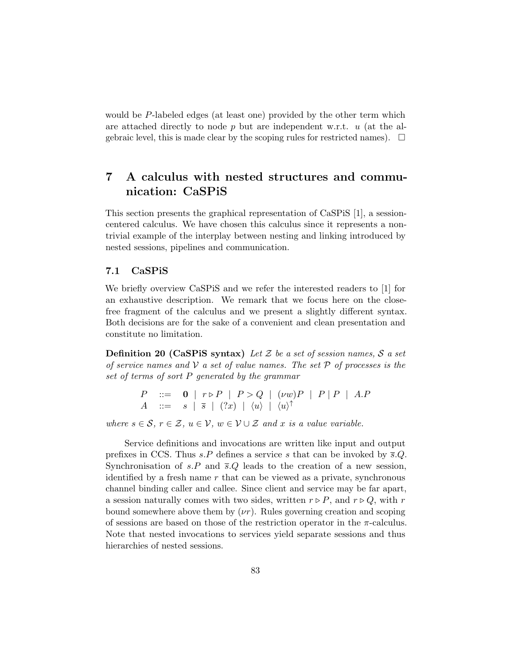would be P-labeled edges (at least one) provided by the other term which are attached directly to node  $p$  but are independent w.r.t.  $u$  (at the algebraic level, this is made clear by the scoping rules for restricted names).  $\Box$ 

# 7 A calculus with nested structures and communication: CaSPiS

This section presents the graphical representation of CaSPiS [1], a sessioncentered calculus. We have chosen this calculus since it represents a nontrivial example of the interplay between nesting and linking introduced by nested sessions, pipelines and communication.

#### 7.1 CaSPiS

We briefly overview CaSPiS and we refer the interested readers to [1] for an exhaustive description. We remark that we focus here on the closefree fragment of the calculus and we present a slightly different syntax. Both decisions are for the sake of a convenient and clean presentation and constitute no limitation.

**Definition 20 (CaSPIS syntax)** Let  $\mathcal Z$  be a set of session names,  $\mathcal S$  a set of service names and  $\mathcal V$  a set of value names. The set  $\mathcal P$  of processes is the set of terms of sort P generated by the grammar

$$
\begin{array}{lll}\nP & ::= & 0 & |r \triangleright P & |P > Q & | \ ( \nu w)P & |P | & P & | A.P \\
A & ::= & s & | \overline{s} & | \ ( ?x) & | \ \langle u \rangle & | \ \langle u \rangle^{\uparrow}\n\end{array}
$$

where  $s \in \mathcal{S}, r \in \mathcal{Z}, u \in \mathcal{V}, w \in \mathcal{V} \cup \mathcal{Z}$  and x is a value variable.

Service definitions and invocations are written like input and output prefixes in CCS. Thus  $s.P$  defines a service s that can be invoked by  $\bar{s}.Q$ . Synchronisation of s.P and  $\overline{s}Q$  leads to the creation of a new session, identified by a fresh name  $r$  that can be viewed as a private, synchronous channel binding caller and callee. Since client and service may be far apart, a session naturally comes with two sides, written  $r \triangleright P$ , and  $r \triangleright Q$ , with r bound somewhere above them by  $(\nu r)$ . Rules governing creation and scoping of sessions are based on those of the restriction operator in the  $\pi$ -calculus. Note that nested invocations to services yield separate sessions and thus hierarchies of nested sessions.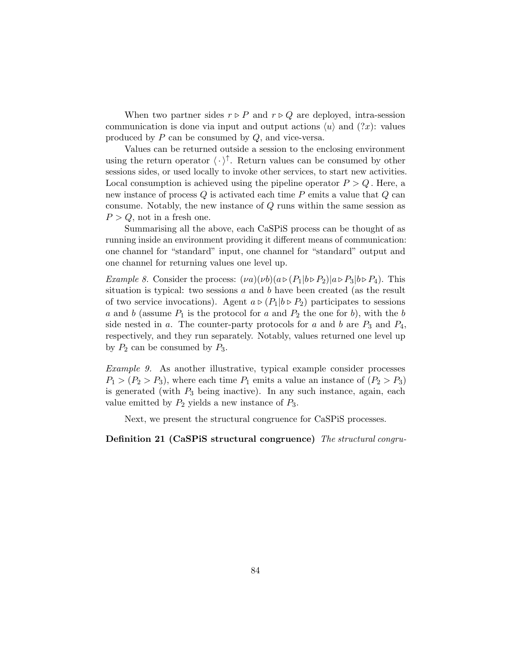When two partner sides  $r \triangleright P$  and  $r \triangleright Q$  are deployed, intra-session communication is done via input and output actions  $\langle u \rangle$  and  $(?x)$ : values produced by  $P$  can be consumed by  $Q$ , and vice-versa.

Values can be returned outside a session to the enclosing environment using the return operator  $\langle \cdot \rangle^{\uparrow}$ . Return values can be consumed by other sessions sides, or used locally to invoke other services, to start new activities. Local consumption is achieved using the pipeline operator  $P > Q$ . Here, a new instance of process  $Q$  is activated each time  $P$  emits a value that  $Q$  can consume. Notably, the new instance of Q runs within the same session as  $P > Q$ , not in a fresh one.

Summarising all the above, each CaSPiS process can be thought of as running inside an environment providing it different means of communication: one channel for "standard" input, one channel for "standard" output and one channel for returning values one level up.

*Example 8.* Consider the process:  $(\nu a)(\nu b)(a \triangleright (P_1|b \triangleright P_2)|a \triangleright P_3|b \triangleright P_4)$ . This situation is typical: two sessions  $a$  and  $b$  have been created (as the result of two service invocations). Agent  $a \triangleright (P_1|b \triangleright P_2)$  participates to sessions a and b (assume  $P_1$  is the protocol for a and  $P_2$  the one for b), with the b side nested in a. The counter-party protocols for a and b are  $P_3$  and  $P_4$ , respectively, and they run separately. Notably, values returned one level up by  $P_2$  can be consumed by  $P_3$ .

Example 9. As another illustrative, typical example consider processes  $P_1 > (P_2 > P_3)$ , where each time  $P_1$  emits a value an instance of  $(P_2 > P_3)$ is generated (with  $P_3$  being inactive). In any such instance, again, each value emitted by  $P_2$  yields a new instance of  $P_3$ .

Next, we present the structural congruence for CaSPiS processes.

Definition 21 (CaSPiS structural congruence) The structural congru-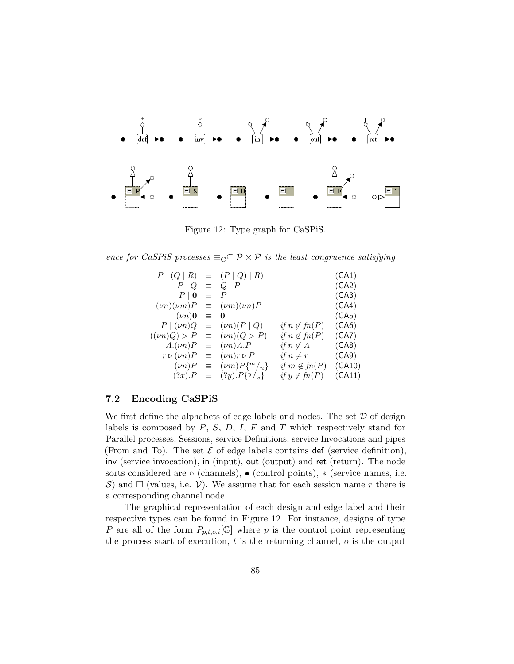

Figure 12: Type graph for CaSPiS.

ence for CaSPiS processes  $\equiv_C \subseteq \mathcal{P} \times \mathcal{P}$  is the least congruence satisfying

$$
P | (Q | R) = (P | Q) | R)
$$
\n
$$
P | Q = Q | P
$$
\n
$$
(CA1)
$$
\n
$$
P | Q = P
$$
\n
$$
(Vn)(vm)P = (vm)(vn)P
$$
\n
$$
P | (vn)Q = 0
$$
\n
$$
P | (vn)Q = (vn)(P | Q)
$$
\n
$$
f n \notin f n(P)
$$
\n
$$
F (vn)Q \succ P = (vn)A.P
$$
\n
$$
F \succ (vn)P = (vn)A.P
$$
\n
$$
F \succ (vn)P = (vn)r \succ P
$$
\n
$$
f n \notin f n(P)
$$
\n
$$
F \succ (vn)P = (vn)r \succ P
$$
\n
$$
f n \notin f n(P)
$$
\n
$$
F \succ (vn)P = (vm)P{^m/{}_{n}} \quad if n \notin f n(P)
$$
\n
$$
F \succ (r n)P = (vm)P{^m/{}_{n}} \quad if m \notin f n(P)
$$
\n
$$
F \succ (r n)P = (r n)P{^m/{}_{n}} \quad if n \notin f n(P)
$$
\n
$$
F \succ (r n)P = (r n)P{^m/{}_{n}} \quad if n \notin f n(P)
$$
\n
$$
F \succ (r n)P = (r n)P{^m/{}_{n}} \quad if n \notin f n(P)
$$
\n
$$
F \succ (r n)P = (r n)P{^m/{}_{n}} \quad if n \notin f n(P)
$$
\n
$$
F \succ (r n)P = (r n)P{^m/{}_{n}} \quad if n \notin f n(P)
$$
\n
$$
F \succ (r n)P = (r n)P{^m/{}_{n}} \quad if n \notin f n(P)
$$
\n
$$
F \succ (r n)P = (r n)P{^m/{}_{n}} \quad if n \notin f n(P)
$$
\n
$$
F \succ (r n)P = (r n)P{^m/{}_{n}} \quad if n \notin f n(P)
$$
\n
$$
F \succ (r n)P = (r n)P{^m/{}_{n}} \quad if n \notin f n(P) \quad (r n n)P = (r n)P{^m/{}_{n}} \quad (r n n)P = (r n)P{^m/
$$

#### 7.2 Encoding CaSPiS

We first define the alphabets of edge labels and nodes. The set  $D$  of design labels is composed by  $P$ ,  $S$ ,  $D$ ,  $I$ ,  $F$  and  $T$  which respectively stand for Parallel processes, Sessions, service Definitions, service Invocations and pipes (From and To). The set  $\mathcal E$  of edge labels contains def (service definition), inv (service invocation), in (input), out (output) and ret (return). The node sorts considered are  $\circ$  (channels),  $\bullet$  (control points),  $*$  (service names, i.e. S) and  $\Box$  (values, i.e. V). We assume that for each session name r there is a corresponding channel node.

The graphical representation of each design and edge label and their respective types can be found in Figure 12. For instance, designs of type P are all of the form  $P_{p,t,o,i}[\mathbb{G}]$  where p is the control point representing the process start of execution, t is the returning channel, o is the output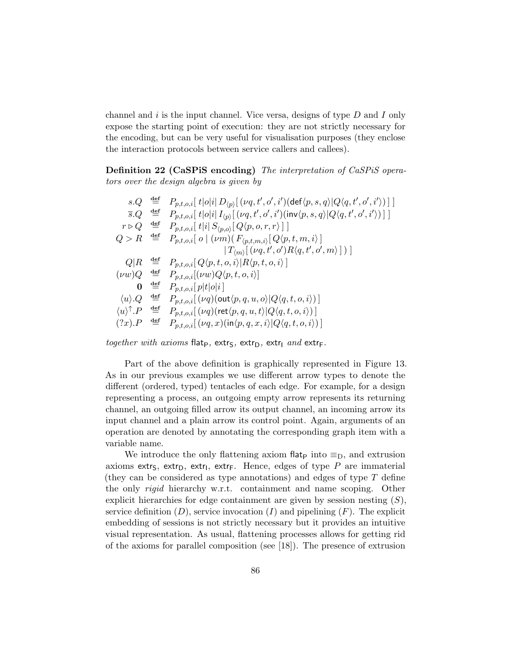channel and  $i$  is the input channel. Vice versa, designs of type  $D$  and  $I$  only expose the starting point of execution: they are not strictly necessary for the encoding, but can be very useful for visualisation purposes (they enclose the interaction protocols between service callers and callees).

Definition 22 (CaSPiS encoding) The interpretation of CaSPiS operators over the design algebra is given by

 $s.Q \stackrel{\text{def}}{=} \; \; P_{p,t,o,i}[\; t|o|i|\, D_{\langle p \rangle}[\, (\nu q,t',o',i') (\text{def} \langle p,s,q \rangle | Q \langle q,t',o',i' \rangle )\,] \; ]$  $\overline{s}.Q \quad \stackrel{{\mathsf{def}}}{=}\quad P_{p,t,o,i}[\ t|o|i]\ I_{\langle p\rangle}[\ (\nu q,t',o',i')({\mathsf{inv}}\langle p,s,q\rangle|Q\langle q,t',o',i'\rangle)\ ]\ ]$  $r \triangleright Q \stackrel{\text{def}}{=} P_{p,t,o,i} \left[ \right. t \vert i \vert \left. S_{\langle p,o \rangle} \right[ Q \langle p,o,r,r \rangle \left. \right] \left. \right]$  $Q > R \stackrel{\text{def}}{=} P_{p,t,o,i} [\ o \ | \ ( \nu m) ( \ F_{\langle p,t,m,i \rangle} [\ Q \langle p,t,m,i \rangle \ ]$  $|T_{\langle m \rangle}[\langle \nu q, t', o' \rangle R \langle q, t', o', m \rangle] )]$  $Q|R \triangleq P_{p,t,o,i}[Q\langle p,t,o,i\rangle|R\langle p,t,o,i\rangle]$  $(\nu w) Q \stackrel{\text{def}}{=} P_{p,t,o,i}[(\nu w) Q \langle p,t, o, i \rangle]$ 0  $\overset{\mathrm{def}}{=} \quad P_{p,t,o,i}[\, p|t|o|i\,]$  $\langle u \rangle . Q \stackrel{\text{def}}{=} P_{p,t,o,i}[(\nu q)(\text{out}\langle p,q,u,o\rangle|Q\langle q,t,o,i\rangle)]$  $\langle u \rangle^{\uparrow}.P \stackrel{\text{def}}{=} P_{p,t,o,i}[\left(\nu q\right)\left(\text{ret}\langle p,q,u,t\rangle|Q\langle q,t,o,i\rangle\right)]$  $(?x).P \stackrel{\text{def}}{=} P_{p,t,o,i}[(\nu q, x)(\text{in}\langle p, q, x, i\rangle)Q\langle q, t, o, i\rangle)]$ 

together with axioms flatp, extrs, extr $_D$ , extr $I$  and extr $F$ .

Part of the above definition is graphically represented in Figure 13. As in our previous examples we use different arrow types to denote the different (ordered, typed) tentacles of each edge. For example, for a design representing a process, an outgoing empty arrow represents its returning channel, an outgoing filled arrow its output channel, an incoming arrow its input channel and a plain arrow its control point. Again, arguments of an operation are denoted by annotating the corresponding graph item with a variable name.

We introduce the only flattening axiom flat pinto  $\equiv_D$ , and extrusion axioms extr $S$ , extr $D$ , extri, extr $F$ . Hence, edges of type  $P$  are immaterial (they can be considered as type annotations) and edges of type  $T$  define the only *rigid* hierarchy w.r.t. containment and name scoping. Other explicit hierarchies for edge containment are given by session nesting  $(S)$ , service definition  $(D)$ , service invocation  $(I)$  and pipelining  $(F)$ . The explicit embedding of sessions is not strictly necessary but it provides an intuitive visual representation. As usual, flattening processes allows for getting rid of the axioms for parallel composition (see [18]). The presence of extrusion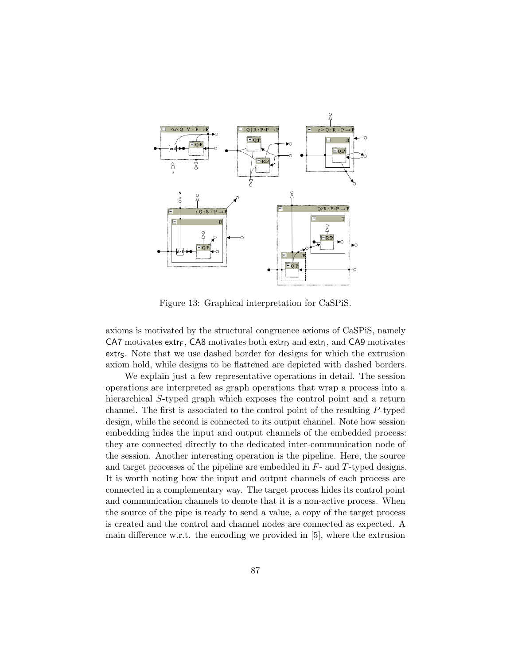

Figure 13: Graphical interpretation for CaSPiS.

axioms is motivated by the structural congruence axioms of CaSPiS, namely  $C$ A7 motivates extr<sub>F</sub>,  $C$ A8 motivates both extr<sub>D</sub> and extr<sub>I</sub>, and  $C$ A9 motivates extr<sub>S</sub>. Note that we use dashed border for designs for which the extrusion axiom hold, while designs to be flattened are depicted with dashed borders.

We explain just a few representative operations in detail. The session operations are interpreted as graph operations that wrap a process into a hierarchical S-typed graph which exposes the control point and a return channel. The first is associated to the control point of the resulting P-typed design, while the second is connected to its output channel. Note how session embedding hides the input and output channels of the embedded process: they are connected directly to the dedicated inter-communication node of the session. Another interesting operation is the pipeline. Here, the source and target processes of the pipeline are embedded in  $F$ - and  $T$ -typed designs. It is worth noting how the input and output channels of each process are connected in a complementary way. The target process hides its control point and communication channels to denote that it is a non-active process. When the source of the pipe is ready to send a value, a copy of the target process is created and the control and channel nodes are connected as expected. A main difference w.r.t. the encoding we provided in [5], where the extrusion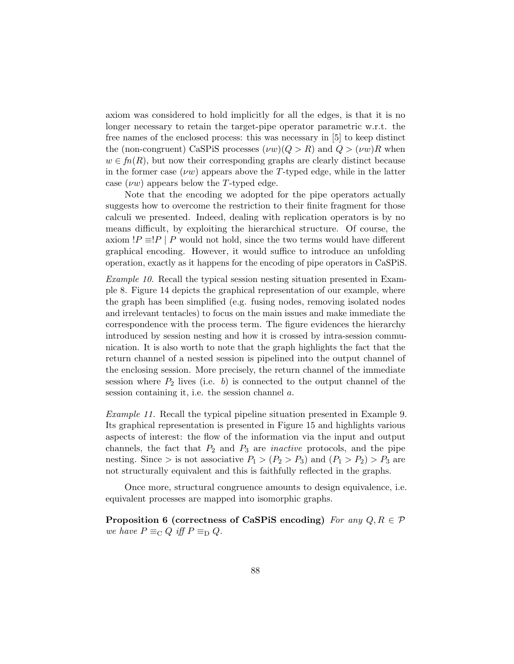axiom was considered to hold implicitly for all the edges, is that it is no longer necessary to retain the target-pipe operator parametric w.r.t. the free names of the enclosed process: this was necessary in [5] to keep distinct the (non-congruent) CaSPiS processes  $(\nu w)(Q > R)$  and  $Q > (\nu w)R$  when  $w \in fn(R)$ , but now their corresponding graphs are clearly distinct because in the former case  $(\nu w)$  appears above the T-typed edge, while in the latter case  $(\nu w)$  appears below the T-typed edge.

Note that the encoding we adopted for the pipe operators actually suggests how to overcome the restriction to their finite fragment for those calculi we presented. Indeed, dealing with replication operators is by no means difficult, by exploiting the hierarchical structure. Of course, the axiom  $P \equiv P | P$  would not hold, since the two terms would have different graphical encoding. However, it would suffice to introduce an unfolding operation, exactly as it happens for the encoding of pipe operators in CaSPiS.

Example 10. Recall the typical session nesting situation presented in Example 8. Figure 14 depicts the graphical representation of our example, where the graph has been simplified (e.g. fusing nodes, removing isolated nodes and irrelevant tentacles) to focus on the main issues and make immediate the correspondence with the process term. The figure evidences the hierarchy introduced by session nesting and how it is crossed by intra-session communication. It is also worth to note that the graph highlights the fact that the return channel of a nested session is pipelined into the output channel of the enclosing session. More precisely, the return channel of the immediate session where  $P_2$  lives (i.e. b) is connected to the output channel of the session containing it, i.e. the session channel  $a$ .

Example 11. Recall the typical pipeline situation presented in Example 9. Its graphical representation is presented in Figure 15 and highlights various aspects of interest: the flow of the information via the input and output channels, the fact that  $P_2$  and  $P_3$  are *inactive* protocols, and the pipe nesting. Since > is not associative  $P_1 > (P_2 > P_3)$  and  $(P_1 > P_2) > P_3$  are not structurally equivalent and this is faithfully reflected in the graphs.

Once more, structural congruence amounts to design equivalence, i.e. equivalent processes are mapped into isomorphic graphs.

Proposition 6 (correctness of CaSPiS encoding) For any  $Q, R \in \mathcal{P}$ we have  $P \equiv_{\text{C}} Q$  iff  $P \equiv_{\text{D}} Q$ .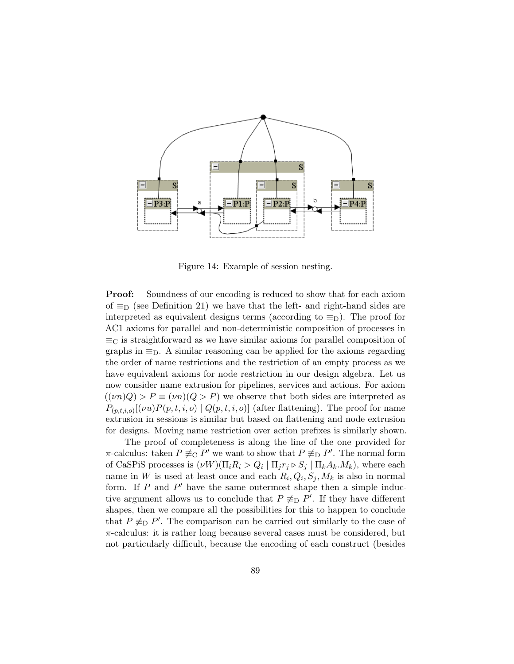

Figure 14: Example of session nesting.

**Proof:** Soundness of our encoding is reduced to show that for each axiom of  $\equiv_D$  (see Definition 21) we have that the left- and right-hand sides are interpreted as equivalent designs terms (according to  $\equiv_D$ ). The proof for AC1 axioms for parallel and non-deterministic composition of processes in  $\equiv_C$  is straightforward as we have similar axioms for parallel composition of graphs in  $\equiv_{\mathcal{D}}$ . A similar reasoning can be applied for the axioms regarding the order of name restrictions and the restriction of an empty process as we have equivalent axioms for node restriction in our design algebra. Let us now consider name extrusion for pipelines, services and actions. For axiom  $((\nu n)Q) > P \equiv (\nu n)(Q > P)$  we observe that both sides are interpreted as  $P_{(p,t,i,o)}[(\nu u)P(p,t,i,o) | Q(p,t,i,o)]$  (after flattening). The proof for name extrusion in sessions is similar but based on flattening and node extrusion for designs. Moving name restriction over action prefixes is similarly shown.

The proof of completeness is along the line of the one provided for  $\pi$ -calculus: taken  $P \not\equiv_{\mathcal{C}} P'$  we want to show that  $P \not\equiv_{\mathcal{D}} P'$ . The normal form of CaSPiS processes is  $(\nu W)(\Pi_i R_i > Q_i | \Pi_j r_j \triangleright S_j | \Pi_k A_k.M_k)$ , where each name in W is used at least once and each  $R_i, Q_i, S_j, M_k$  is also in normal form. If  $P$  and  $P'$  have the same outermost shape then a simple inductive argument allows us to conclude that  $P \not\equiv_D P'$ . If they have different shapes, then we compare all the possibilities for this to happen to conclude that  $P \not\equiv_{\text{D}} P'$ . The comparison can be carried out similarly to the case of  $\pi$ -calculus: it is rather long because several cases must be considered, but not particularly difficult, because the encoding of each construct (besides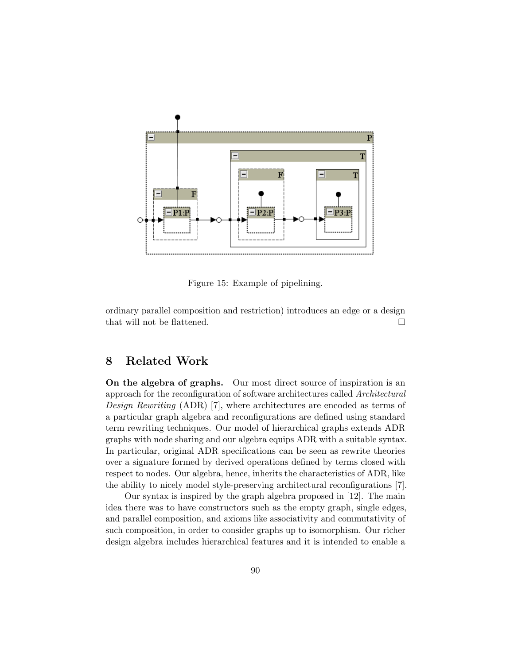

Figure 15: Example of pipelining.

ordinary parallel composition and restriction) introduces an edge or a design that will not be flattened.  $\Box$ 

## 8 Related Work

On the algebra of graphs. Our most direct source of inspiration is an approach for the reconfiguration of software architectures called Architectural Design Rewriting (ADR) [7], where architectures are encoded as terms of a particular graph algebra and reconfigurations are defined using standard term rewriting techniques. Our model of hierarchical graphs extends ADR graphs with node sharing and our algebra equips ADR with a suitable syntax. In particular, original ADR specifications can be seen as rewrite theories over a signature formed by derived operations defined by terms closed with respect to nodes. Our algebra, hence, inherits the characteristics of ADR, like the ability to nicely model style-preserving architectural reconfigurations [7].

Our syntax is inspired by the graph algebra proposed in [12]. The main idea there was to have constructors such as the empty graph, single edges, and parallel composition, and axioms like associativity and commutativity of such composition, in order to consider graphs up to isomorphism. Our richer design algebra includes hierarchical features and it is intended to enable a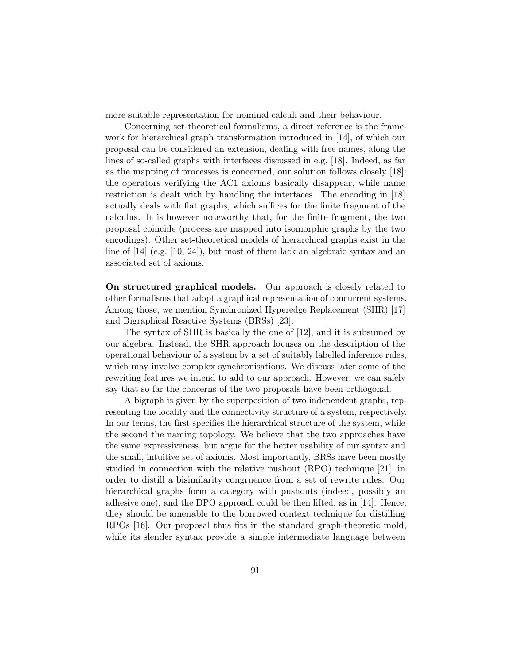more suitable representation for nominal calculi and their behaviour.

Concerning set-theoretical formalisms, a direct reference is the framework for hierarchical graph transformation introduced in [14], of which our proposal can be considered an extension, dealing with free names, along the lines of so-called graphs with interfaces discussed in e.g. [18]. Indeed, as far as the mapping of processes is concerned, our solution follows closely [18]: the operators verifying the AC1 axioms basically disappear, while name restriction is dealt with by handling the interfaces. The encoding in [18] actually deals with flat graphs, which suffices for the finite fragment of the calculus. It is however noteworthy that, for the finite fragment, the two proposal coincide (process are mapped into isomorphic graphs by the two encodings). Other set-theoretical models of hierarchical graphs exist in the line of [14] (e.g. [10, 24]), but most of them lack an algebraic syntax and an associated set of axioms.

On structured graphical models. Our approach is closely related to other formalisms that adopt a graphical representation of concurrent systems. Among those, we mention Synchronized Hyperedge Replacement (SHR) [17] and Bigraphical Reactive Systems (BRSs) [23].

The syntax of SHR is basically the one of [12], and it is subsumed by our algebra. Instead, the SHR approach focuses on the description of the operational behaviour of a system by a set of suitably labelled inference rules, which may involve complex synchronisations. We discuss later some of the rewriting features we intend to add to our approach. However, we can safely say that so far the concerns of the two proposals have been orthogonal.

A bigraph is given by the superposition of two independent graphs, representing the locality and the connectivity structure of a system, respectively. In our terms, the first specifies the hierarchical structure of the system, while the second the naming topology. We believe that the two approaches have the same expressiveness, but argue for the better usability of our syntax and the small, intuitive set of axioms. Most importantly, BRSs have been mostly studied in connection with the relative pushout (RPO) technique [21], in order to distill a bisimilarity congruence from a set of rewrite rules. Our hierarchical graphs form a category with pushouts (indeed, possibly an adhesive one), and the DPO approach could be then lifted, as in [14]. Hence, they should be amenable to the borrowed context technique for distilling RPOs [16]. Our proposal thus fits in the standard graph-theoretic mold, while its slender syntax provide a simple intermediate language between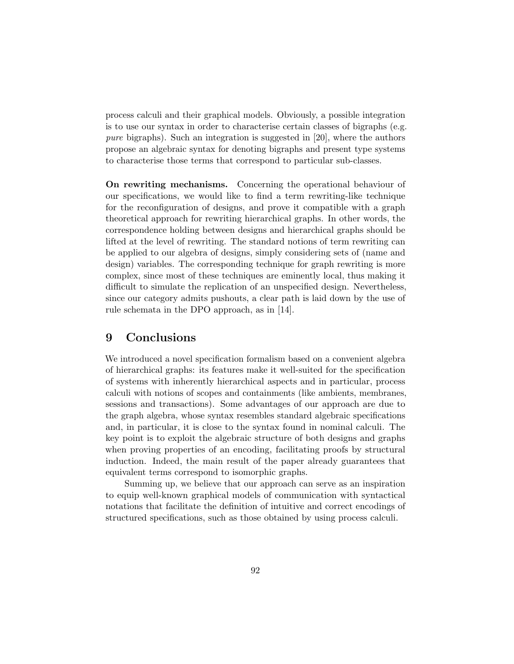process calculi and their graphical models. Obviously, a possible integration is to use our syntax in order to characterise certain classes of bigraphs (e.g. pure bigraphs). Such an integration is suggested in [20], where the authors propose an algebraic syntax for denoting bigraphs and present type systems to characterise those terms that correspond to particular sub-classes.

On rewriting mechanisms. Concerning the operational behaviour of our specifications, we would like to find a term rewriting-like technique for the reconfiguration of designs, and prove it compatible with a graph theoretical approach for rewriting hierarchical graphs. In other words, the correspondence holding between designs and hierarchical graphs should be lifted at the level of rewriting. The standard notions of term rewriting can be applied to our algebra of designs, simply considering sets of (name and design) variables. The corresponding technique for graph rewriting is more complex, since most of these techniques are eminently local, thus making it difficult to simulate the replication of an unspecified design. Nevertheless, since our category admits pushouts, a clear path is laid down by the use of rule schemata in the DPO approach, as in [14].

### 9 Conclusions

We introduced a novel specification formalism based on a convenient algebra of hierarchical graphs: its features make it well-suited for the specification of systems with inherently hierarchical aspects and in particular, process calculi with notions of scopes and containments (like ambients, membranes, sessions and transactions). Some advantages of our approach are due to the graph algebra, whose syntax resembles standard algebraic specifications and, in particular, it is close to the syntax found in nominal calculi. The key point is to exploit the algebraic structure of both designs and graphs when proving properties of an encoding, facilitating proofs by structural induction. Indeed, the main result of the paper already guarantees that equivalent terms correspond to isomorphic graphs.

Summing up, we believe that our approach can serve as an inspiration to equip well-known graphical models of communication with syntactical notations that facilitate the definition of intuitive and correct encodings of structured specifications, such as those obtained by using process calculi.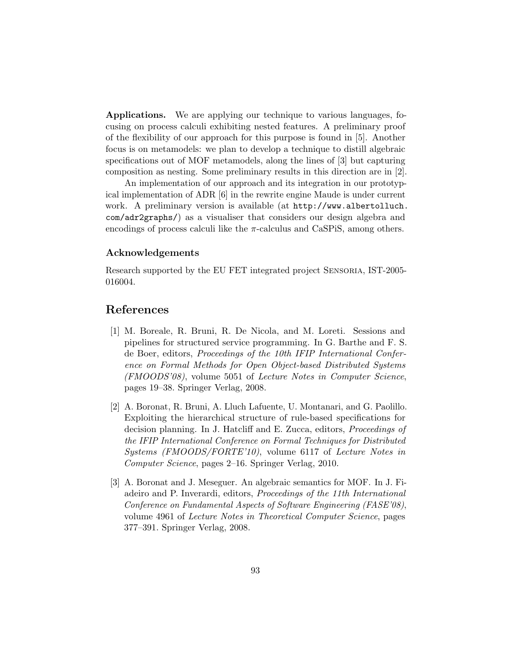Applications. We are applying our technique to various languages, focusing on process calculi exhibiting nested features. A preliminary proof of the flexibility of our approach for this purpose is found in [5]. Another focus is on metamodels: we plan to develop a technique to distill algebraic specifications out of MOF metamodels, along the lines of [3] but capturing composition as nesting. Some preliminary results in this direction are in [2].

An implementation of our approach and its integration in our prototypical implementation of ADR [6] in the rewrite engine Maude is under current work. A preliminary version is available (at http://www.albertolluch. com/adr2graphs/) as a visualiser that considers our design algebra and encodings of process calculi like the  $\pi$ -calculus and CaSPiS, among others.

#### Acknowledgements

Research supported by the EU FET integrated project Sensoria, IST-2005- 016004.

## References

- [1] M. Boreale, R. Bruni, R. De Nicola, and M. Loreti. Sessions and pipelines for structured service programming. In G. Barthe and F. S. de Boer, editors, Proceedings of the 10th IFIP International Conference on Formal Methods for Open Object-based Distributed Systems (FMOODS'08), volume 5051 of Lecture Notes in Computer Science, pages 19–38. Springer Verlag, 2008.
- [2] A. Boronat, R. Bruni, A. Lluch Lafuente, U. Montanari, and G. Paolillo. Exploiting the hierarchical structure of rule-based specifications for decision planning. In J. Hatcliff and E. Zucca, editors, Proceedings of the IFIP International Conference on Formal Techniques for Distributed Systems (FMOODS/FORTE'10), volume 6117 of Lecture Notes in Computer Science, pages 2–16. Springer Verlag, 2010.
- [3] A. Boronat and J. Meseguer. An algebraic semantics for MOF. In J. Fiadeiro and P. Inverardi, editors, Proceedings of the 11th International Conference on Fundamental Aspects of Software Engineering (FASE'08), volume 4961 of Lecture Notes in Theoretical Computer Science, pages 377–391. Springer Verlag, 2008.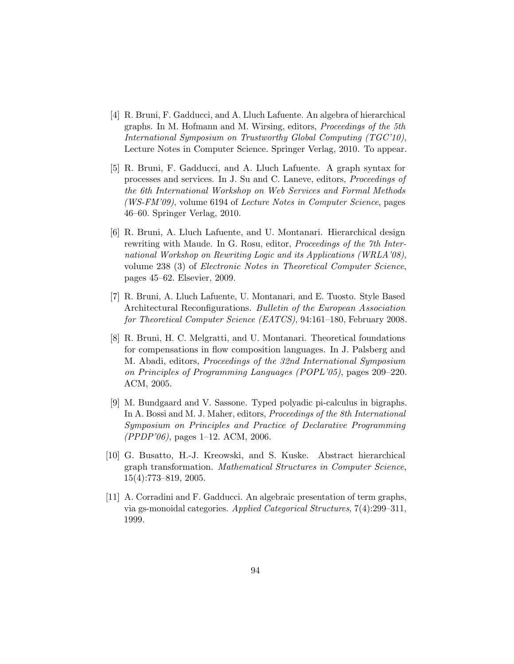- [4] R. Bruni, F. Gadducci, and A. Lluch Lafuente. An algebra of hierarchical graphs. In M. Hofmann and M. Wirsing, editors, Proceedings of the 5th International Symposium on Trustworthy Global Computing (TGC'10), Lecture Notes in Computer Science. Springer Verlag, 2010. To appear.
- [5] R. Bruni, F. Gadducci, and A. Lluch Lafuente. A graph syntax for processes and services. In J. Su and C. Laneve, editors, Proceedings of the 6th International Workshop on Web Services and Formal Methods (WS-FM'09), volume 6194 of Lecture Notes in Computer Science, pages 46–60. Springer Verlag, 2010.
- [6] R. Bruni, A. Lluch Lafuente, and U. Montanari. Hierarchical design rewriting with Maude. In G. Rosu, editor, Proceedings of the 7th International Workshop on Rewriting Logic and its Applications (WRLA'08), volume 238 (3) of Electronic Notes in Theoretical Computer Science, pages 45–62. Elsevier, 2009.
- [7] R. Bruni, A. Lluch Lafuente, U. Montanari, and E. Tuosto. Style Based Architectural Reconfigurations. Bulletin of the European Association for Theoretical Computer Science (EATCS), 94:161–180, February 2008.
- [8] R. Bruni, H. C. Melgratti, and U. Montanari. Theoretical foundations for compensations in flow composition languages. In J. Palsberg and M. Abadi, editors, Proceedings of the 32nd International Symposium on Principles of Programming Languages (POPL'05), pages 209–220. ACM, 2005.
- [9] M. Bundgaard and V. Sassone. Typed polyadic pi-calculus in bigraphs. In A. Bossi and M. J. Maher, editors, Proceedings of the 8th International Symposium on Principles and Practice of Declarative Programming (PPDP'06), pages 1–12. ACM, 2006.
- [10] G. Busatto, H.-J. Kreowski, and S. Kuske. Abstract hierarchical graph transformation. Mathematical Structures in Computer Science, 15(4):773–819, 2005.
- [11] A. Corradini and F. Gadducci. An algebraic presentation of term graphs, via gs-monoidal categories. Applied Categorical Structures, 7(4):299–311, 1999.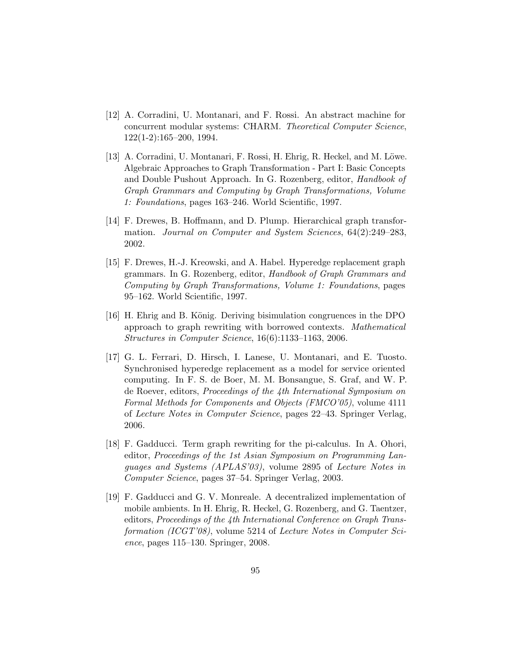- [12] A. Corradini, U. Montanari, and F. Rossi. An abstract machine for concurrent modular systems: CHARM. Theoretical Computer Science, 122(1-2):165–200, 1994.
- [13] A. Corradini, U. Montanari, F. Rossi, H. Ehrig, R. Heckel, and M. Löwe. Algebraic Approaches to Graph Transformation - Part I: Basic Concepts and Double Pushout Approach. In G. Rozenberg, editor, Handbook of Graph Grammars and Computing by Graph Transformations, Volume 1: Foundations, pages 163–246. World Scientific, 1997.
- [14] F. Drewes, B. Hoffmann, and D. Plump. Hierarchical graph transformation. Journal on Computer and System Sciences, 64(2):249–283, 2002.
- [15] F. Drewes, H.-J. Kreowski, and A. Habel. Hyperedge replacement graph grammars. In G. Rozenberg, editor, Handbook of Graph Grammars and Computing by Graph Transformations, Volume 1: Foundations, pages 95–162. World Scientific, 1997.
- [16] H. Ehrig and B. König. Deriving bisimulation congruences in the DPO approach to graph rewriting with borrowed contexts. Mathematical Structures in Computer Science, 16(6):1133–1163, 2006.
- [17] G. L. Ferrari, D. Hirsch, I. Lanese, U. Montanari, and E. Tuosto. Synchronised hyperedge replacement as a model for service oriented computing. In F. S. de Boer, M. M. Bonsangue, S. Graf, and W. P. de Roever, editors, Proceedings of the 4th International Symposium on Formal Methods for Components and Objects (FMCO'05), volume 4111 of Lecture Notes in Computer Science, pages 22–43. Springer Verlag, 2006.
- [18] F. Gadducci. Term graph rewriting for the pi-calculus. In A. Ohori, editor, Proceedings of the 1st Asian Symposium on Programming Languages and Systems (APLAS'03), volume 2895 of Lecture Notes in Computer Science, pages 37–54. Springer Verlag, 2003.
- [19] F. Gadducci and G. V. Monreale. A decentralized implementation of mobile ambients. In H. Ehrig, R. Heckel, G. Rozenberg, and G. Taentzer, editors, Proceedings of the 4th International Conference on Graph Transformation (ICGT'08), volume 5214 of Lecture Notes in Computer Science, pages 115–130. Springer, 2008.